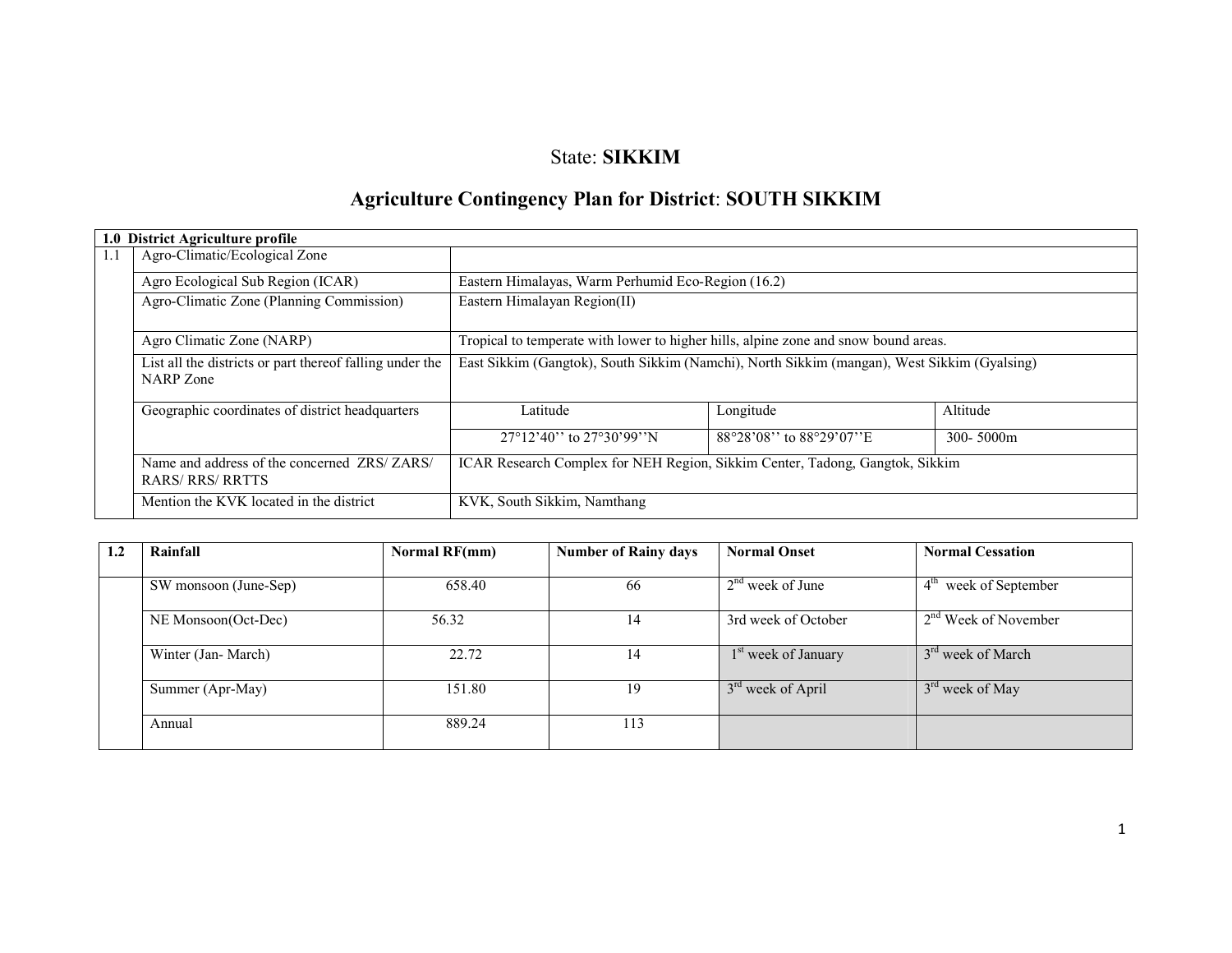# State: SIKKIM

# Agriculture Contingency Plan for District: SOUTH SIKKIM

|                                                                                                                                               | 1.0 District Agriculture profile                                      |                                                                                             |                           |                |  |  |  |  |  |
|-----------------------------------------------------------------------------------------------------------------------------------------------|-----------------------------------------------------------------------|---------------------------------------------------------------------------------------------|---------------------------|----------------|--|--|--|--|--|
| 1.1                                                                                                                                           | Agro-Climatic/Ecological Zone                                         |                                                                                             |                           |                |  |  |  |  |  |
|                                                                                                                                               | Agro Ecological Sub Region (ICAR)                                     | Eastern Himalayas, Warm Perhumid Eco-Region (16.2)                                          |                           |                |  |  |  |  |  |
|                                                                                                                                               | Agro-Climatic Zone (Planning Commission)                              | Eastern Himalayan Region(II)                                                                |                           |                |  |  |  |  |  |
|                                                                                                                                               | Agro Climatic Zone (NARP)                                             | Tropical to temperate with lower to higher hills, alpine zone and snow bound areas.         |                           |                |  |  |  |  |  |
|                                                                                                                                               | List all the districts or part thereof falling under the<br>NARP Zone | East Sikkim (Gangtok), South Sikkim (Namchi), North Sikkim (mangan), West Sikkim (Gyalsing) |                           |                |  |  |  |  |  |
|                                                                                                                                               | Geographic coordinates of district headquarters                       | Latitude                                                                                    | Longitude                 | Altitude       |  |  |  |  |  |
|                                                                                                                                               |                                                                       | $27^{\circ}12'40''$ to $27^{\circ}30'99''$ N                                                | 88°28'08'' to 88°29'07''E | $300 - 5000$ m |  |  |  |  |  |
| Name and address of the concerned ZRS/ZARS/<br>ICAR Research Complex for NEH Region, Sikkim Center, Tadong, Gangtok, Sikkim<br>RARS/RRS/RRTTS |                                                                       |                                                                                             |                           |                |  |  |  |  |  |
|                                                                                                                                               | Mention the KVK located in the district                               | KVK, South Sikkim, Namthang                                                                 |                           |                |  |  |  |  |  |

| 1.2 | Rainfall              | Normal RF(mm) | <b>Number of Rainy days</b> | <b>Normal Onset</b>             | <b>Normal Cessation</b>          |
|-----|-----------------------|---------------|-----------------------------|---------------------------------|----------------------------------|
|     |                       |               |                             |                                 |                                  |
|     | SW monsoon (June-Sep) | 658.40        | 66                          | $2nd$ week of June              | $4th$ week of September          |
|     | NE Monsoon(Oct-Dec)   | 56.32         | 14                          | 3rd week of October             | 2 <sup>nd</sup> Week of November |
|     | Winter (Jan-March)    | 22.72         | 14                          | 1 <sup>st</sup> week of January | 3 <sup>rd</sup> week of March    |
|     | Summer (Apr-May)      | 151.80        | 19                          | 3 <sup>rd</sup> week of April   | 3 <sup>rd</sup> week of May      |
|     | Annual                | 889.24        | 113                         |                                 |                                  |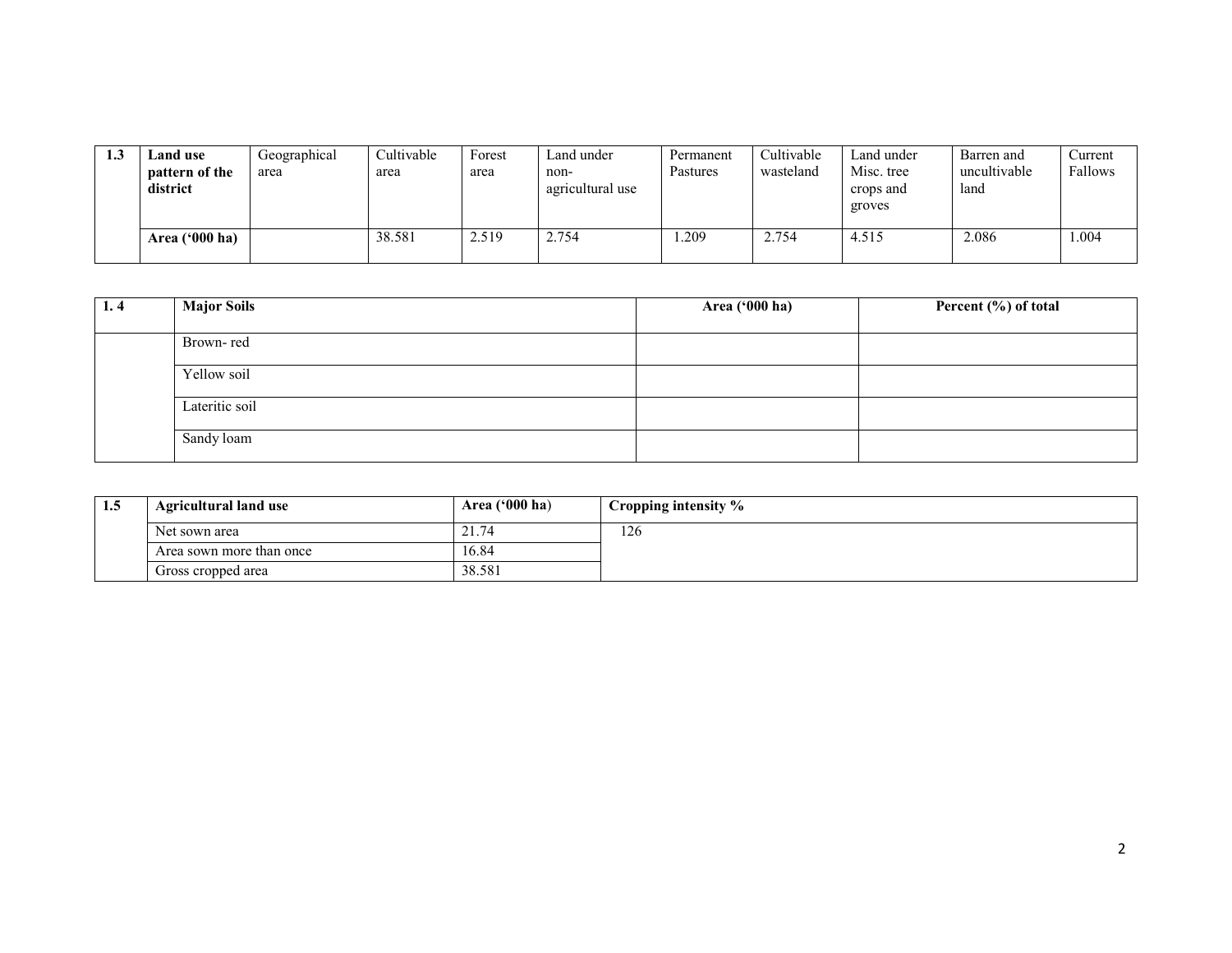| 1.3 | <b>Land use</b><br>pattern of the<br>district | Geographical<br>area | Cultivable<br>area | Forest<br>area | Land under<br>non-<br>agricultural use | Permanent<br>Pastures | Cultivable<br>wasteland | Land under<br>Misc. tree<br>crops and<br>groves | Barren and<br>uncultivable<br>land | Current<br>Fallows |
|-----|-----------------------------------------------|----------------------|--------------------|----------------|----------------------------------------|-----------------------|-------------------------|-------------------------------------------------|------------------------------------|--------------------|
|     | Area $(900 \text{ ha})$                       |                      | 38.581             | 2.519          | 2.754                                  | .209                  | 2.754                   | 4.515                                           | 2.086                              | .004               |

| 1.4 | <b>Major Soils</b> | Area ('000 ha) | Percent (%) of total |
|-----|--------------------|----------------|----------------------|
|     | Brown-red          |                |                      |
|     | Yellow soil        |                |                      |
|     | Lateritic soil     |                |                      |
|     | Sandy loam         |                |                      |

| 1.5 | Agricultural land use    | Area $('000 ha)$ | Cropping intensity % |
|-----|--------------------------|------------------|----------------------|
|     | Net sown area            | 21<br>21.74      | 126                  |
|     | Area sown more than once | 16.84            |                      |
|     | Gross cropped area       | 38.581           |                      |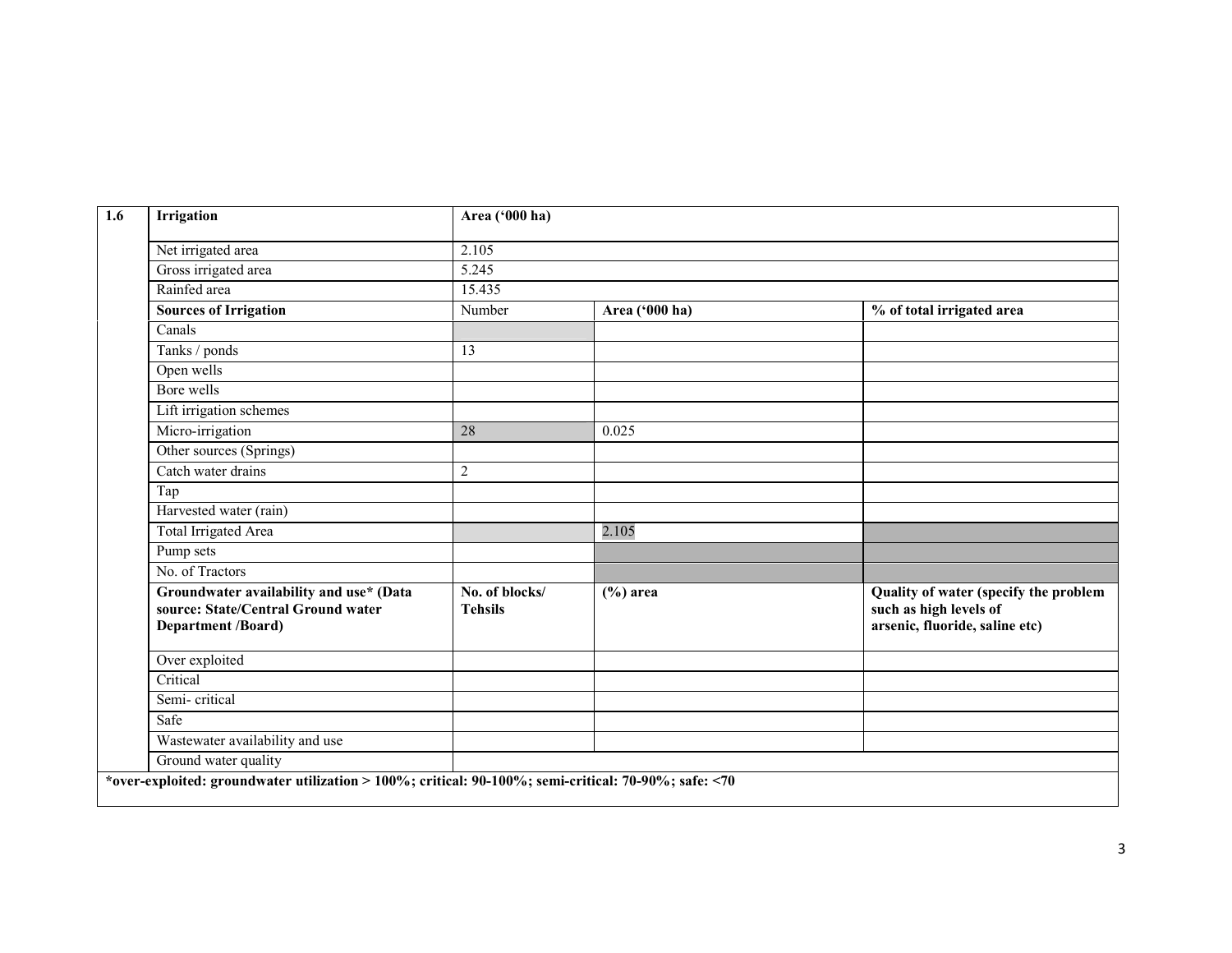| Irrigation                                                                                                 | Area ('000 ha)                   |                |                                                                                                   |
|------------------------------------------------------------------------------------------------------------|----------------------------------|----------------|---------------------------------------------------------------------------------------------------|
| Net irrigated area                                                                                         | 2.105                            |                |                                                                                                   |
| Gross irrigated area                                                                                       | 5.245                            |                |                                                                                                   |
| Rainfed area                                                                                               | 15.435                           |                |                                                                                                   |
| <b>Sources of Irrigation</b>                                                                               | Number                           | Area ('000 ha) | % of total irrigated area                                                                         |
| Canals                                                                                                     |                                  |                |                                                                                                   |
| Tanks / ponds                                                                                              | 13                               |                |                                                                                                   |
| Open wells                                                                                                 |                                  |                |                                                                                                   |
| Bore wells                                                                                                 |                                  |                |                                                                                                   |
| Lift irrigation schemes                                                                                    |                                  |                |                                                                                                   |
| Micro-irrigation                                                                                           | 28                               | 0.025          |                                                                                                   |
| Other sources (Springs)                                                                                    |                                  |                |                                                                                                   |
| Catch water drains                                                                                         | $\boldsymbol{2}$                 |                |                                                                                                   |
| Tap                                                                                                        |                                  |                |                                                                                                   |
| Harvested water (rain)                                                                                     |                                  |                |                                                                                                   |
| <b>Total Irrigated Area</b>                                                                                |                                  | 2.105          |                                                                                                   |
| Pump sets                                                                                                  |                                  |                |                                                                                                   |
| No. of Tractors                                                                                            |                                  |                |                                                                                                   |
| Groundwater availability and use* (Data<br>source: State/Central Ground water<br><b>Department /Board)</b> | No. of blocks/<br><b>Tehsils</b> | $(\% )$ area   | Quality of water (specify the problem<br>such as high levels of<br>arsenic, fluoride, saline etc) |
| Over exploited                                                                                             |                                  |                |                                                                                                   |
| Critical                                                                                                   |                                  |                |                                                                                                   |
| Semi-critical                                                                                              |                                  |                |                                                                                                   |
| Safe                                                                                                       |                                  |                |                                                                                                   |
| Wastewater availability and use                                                                            |                                  |                |                                                                                                   |
| Ground water quality                                                                                       |                                  |                |                                                                                                   |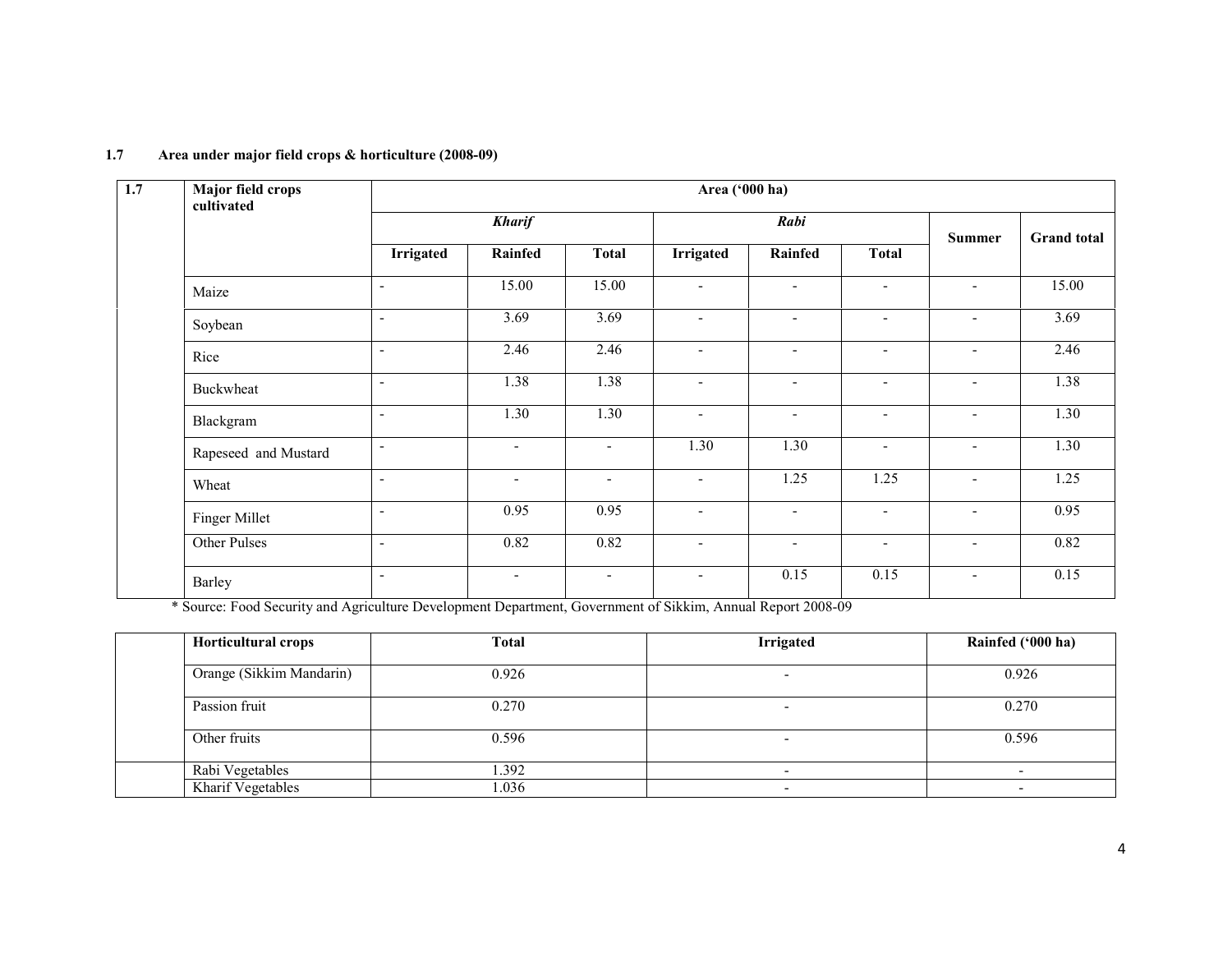| 1.7 | <b>Major field crops</b><br>cultivated | Area ('000 ha)           |                          |                          |                          |                |                          |                          |                    |
|-----|----------------------------------------|--------------------------|--------------------------|--------------------------|--------------------------|----------------|--------------------------|--------------------------|--------------------|
|     |                                        |                          | <b>Kharif</b>            |                          |                          | Rabi           |                          |                          |                    |
|     |                                        | Irrigated                | Rainfed                  | <b>Total</b>             | <b>Irrigated</b>         | <b>Rainfed</b> | <b>Total</b>             | <b>Summer</b>            | <b>Grand</b> total |
|     | Maize                                  | $\blacksquare$           | 15.00                    | 15.00                    | $\sim$                   | $\blacksquare$ | $\sim$                   | $\blacksquare$           | 15.00              |
|     | Soybean                                | $\blacksquare$           | 3.69                     | 3.69                     | $\overline{a}$           | $\blacksquare$ | $\overline{\phantom{a}}$ | $\blacksquare$           | 3.69               |
|     | Rice                                   | $\overline{\phantom{a}}$ | 2.46                     | 2.46                     | $\overline{a}$           | $\blacksquare$ | $\overline{\phantom{a}}$ | $\overline{\phantom{a}}$ | 2.46               |
|     | Buckwheat                              | $\overline{\phantom{a}}$ | 1.38                     | 1.38                     | $\overline{\phantom{a}}$ | $\blacksquare$ | $\blacksquare$           | $\overline{\phantom{a}}$ | 1.38               |
|     | Blackgram                              | $\blacksquare$           | 1.30                     | 1.30                     | $\overline{\phantom{0}}$ | $\blacksquare$ | $\overline{\phantom{a}}$ | $\overline{\phantom{a}}$ | 1.30               |
|     | Rapeseed and Mustard                   | $\overline{\phantom{a}}$ | $\blacksquare$           | $\blacksquare$           | 1.30                     | 1.30           | $\blacksquare$           | $\blacksquare$           | 1.30               |
|     | Wheat                                  | $\overline{\phantom{a}}$ | $\overline{\phantom{a}}$ | $\blacksquare$           | $\overline{\phantom{a}}$ | 1.25           | 1.25                     | $\blacksquare$           | 1.25               |
|     | Finger Millet                          | $\blacksquare$           | 0.95                     | 0.95                     | $\overline{\phantom{0}}$ | $\blacksquare$ | $\blacksquare$           | $\blacksquare$           | 0.95               |
|     | Other Pulses                           | $\overline{\phantom{a}}$ | 0.82                     | 0.82                     | $\blacksquare$           | $\blacksquare$ | $\blacksquare$           | $\blacksquare$           | 0.82               |
|     | Barley                                 | $\overline{\phantom{a}}$ | $\blacksquare$           | $\overline{\phantom{a}}$ | $\sim$                   | 0.15           | 0.15                     | $\blacksquare$           | 0.15               |

#### 1.7 Area under major field crops & horticulture (2008-09)

\* Source: Food Security and Agriculture Development Department, Government of Sikkim, Annual Report 2008-09

| Horticultural crops      | <b>Total</b> | <b>Irrigated</b>         | Rainfed ('000 ha)        |
|--------------------------|--------------|--------------------------|--------------------------|
| Orange (Sikkim Mandarin) | 0.926        |                          | 0.926                    |
| Passion fruit            | 0.270        |                          | 0.270                    |
| Other fruits             | 0.596        |                          | 0.596                    |
| Rabi Vegetables          | . 392        |                          |                          |
| Kharif Vegetables        | .036         | $\overline{\phantom{0}}$ | $\overline{\phantom{0}}$ |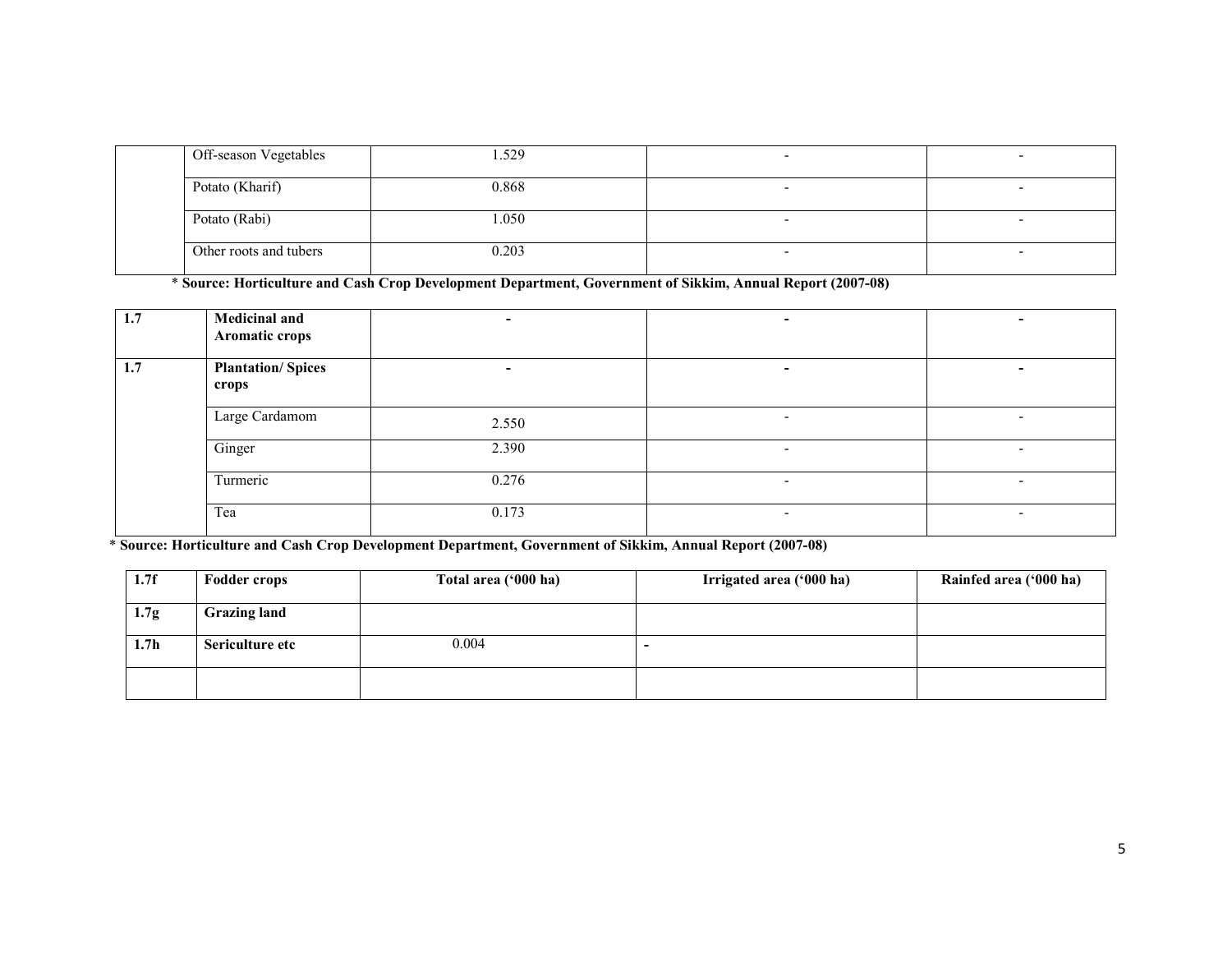| Off-season Vegetables  | .529  |  |
|------------------------|-------|--|
| Potato (Kharif)        | 0.868 |  |
| Potato (Rabi)          | .050  |  |
| Other roots and tubers | 0.203 |  |

\* Source: Horticulture and Cash Crop Development Department, Government of Sikkim, Annual Report (2007-08)

| 1.7 | <b>Medicinal and</b><br>Aromatic crops | ۰.                       |                          |                          |
|-----|----------------------------------------|--------------------------|--------------------------|--------------------------|
| 1.7 | <b>Plantation/Spices</b><br>crops      | $\overline{\phantom{a}}$ |                          | -                        |
|     | Large Cardamom                         | 2.550                    | $\overline{\phantom{a}}$ | $\overline{\phantom{a}}$ |
|     | Ginger                                 | 2.390                    | -                        |                          |
|     | Turmeric                               | 0.276                    | -                        |                          |
|     | Tea                                    | 0.173                    | $\overline{\phantom{0}}$ | $\overline{\phantom{0}}$ |

\* Source: Horticulture and Cash Crop Development Department, Government of Sikkim, Annual Report (2007-08)

| 1.7f             | <b>Fodder crops</b> | Total area ('000 ha) | Irrigated area ('000 ha) | Rainfed area ('000 ha) |
|------------------|---------------------|----------------------|--------------------------|------------------------|
| 1.7 <sub>g</sub> | <b>Grazing land</b> |                      |                          |                        |
| 1.7 <sub>h</sub> | Sericulture etc     | 0.004                |                          |                        |
|                  |                     |                      |                          |                        |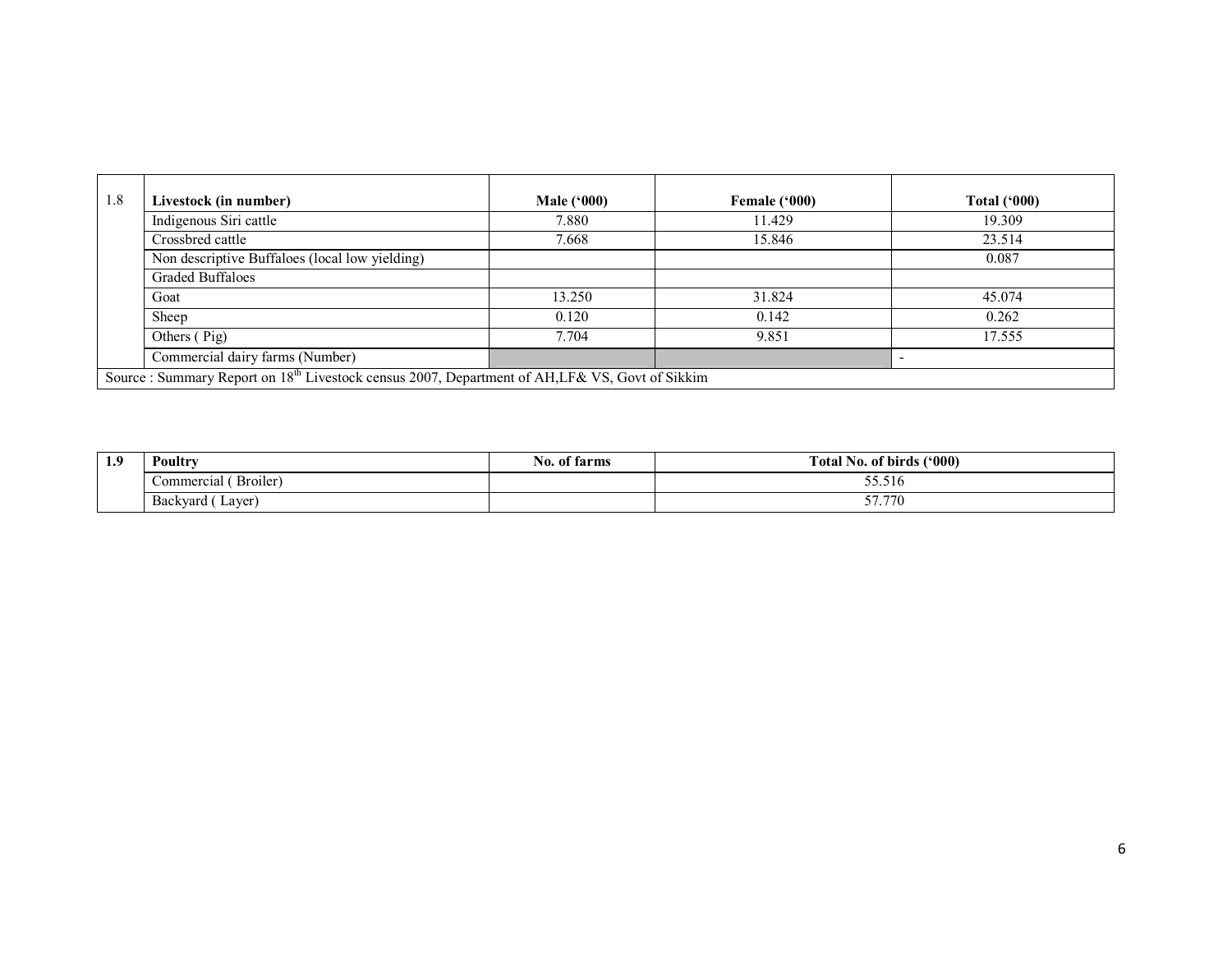| 1.8 | Livestock (in number)                                                                                       | <b>Male ('000)</b> | Female ('000) | <b>Total ('000)</b> |
|-----|-------------------------------------------------------------------------------------------------------------|--------------------|---------------|---------------------|
|     | Indigenous Siri cattle                                                                                      | 7.880              | 11.429        | 19.309              |
|     | Crossbred cattle                                                                                            | 7.668              | 15.846        | 23.514              |
|     | Non descriptive Buffaloes (local low yielding)                                                              |                    |               | 0.087               |
|     | <b>Graded Buffaloes</b>                                                                                     |                    |               |                     |
|     | Goat                                                                                                        | 13.250             | 31.824        | 45.074              |
|     | Sheep                                                                                                       | 0.120              | 0.142         | 0.262               |
|     | Others (Pig)                                                                                                | 7.704              | 9.851         | 17.555              |
|     | Commercial dairy farms (Number)                                                                             |                    |               |                     |
|     | Source : Summary Report on 18 <sup>th</sup> Livestock census 2007, Department of AH, LF& VS, Govt of Sikkim |                    |               |                     |

| 1.9 | Poultry               | farms<br>NO.<br>. ot | $(000)^{2}$<br>m<br>  No. of birds (<br>otal. |
|-----|-----------------------|----------------------|-----------------------------------------------|
|     | Broiler<br>Commercial |                      | -- - -<br>33.31                               |
|     | Laver<br>Backvard (   |                      | 57.77<br>71<br>----                           |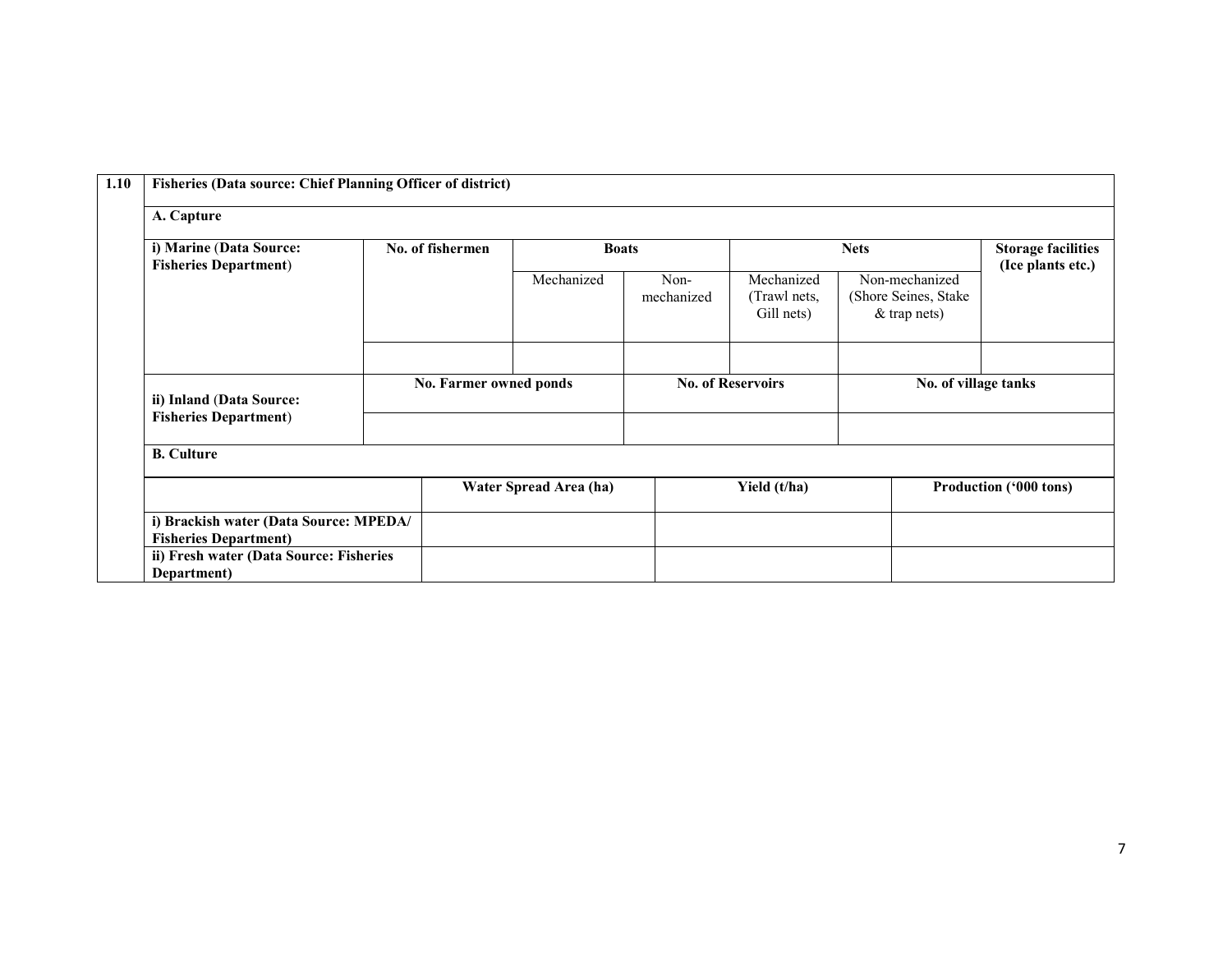| 1.10       | Fisheries (Data source: Chief Planning Officer of district)                                                                      |                                |                        |                        |                                          |                                                           |                      |  |                                                |
|------------|----------------------------------------------------------------------------------------------------------------------------------|--------------------------------|------------------------|------------------------|------------------------------------------|-----------------------------------------------------------|----------------------|--|------------------------------------------------|
| A. Capture |                                                                                                                                  |                                |                        |                        |                                          |                                                           |                      |  |                                                |
|            | i) Marine (Data Source:<br><b>Fisheries Department)</b><br>ii) Inland (Data Source:                                              | No. of fishermen<br>Mechanized |                        | <b>Boats</b>           |                                          |                                                           | <b>Nets</b>          |  | <b>Storage facilities</b><br>(Ice plants etc.) |
|            |                                                                                                                                  |                                |                        | Non-<br>mechanized     | Mechanized<br>(Trawl nets,<br>Gill nets) | Non-mechanized<br>(Shore Seines, Stake)<br>$&$ trap nets) |                      |  |                                                |
|            |                                                                                                                                  |                                |                        |                        |                                          |                                                           |                      |  |                                                |
|            |                                                                                                                                  |                                | No. Farmer owned ponds |                        | <b>No. of Reservoirs</b>                 |                                                           | No. of village tanks |  |                                                |
|            | <b>Fisheries Department)</b>                                                                                                     |                                |                        |                        |                                          |                                                           |                      |  |                                                |
|            | <b>B.</b> Culture                                                                                                                |                                |                        |                        |                                          |                                                           |                      |  |                                                |
|            |                                                                                                                                  |                                |                        | Water Spread Area (ha) | Yield (t/ha)                             |                                                           |                      |  | Production ('000 tons)                         |
|            | i) Brackish water (Data Source: MPEDA/<br><b>Fisheries Department)</b><br>ii) Fresh water (Data Source: Fisheries<br>Department) |                                |                        |                        |                                          |                                                           |                      |  |                                                |
|            |                                                                                                                                  |                                |                        |                        |                                          |                                                           |                      |  |                                                |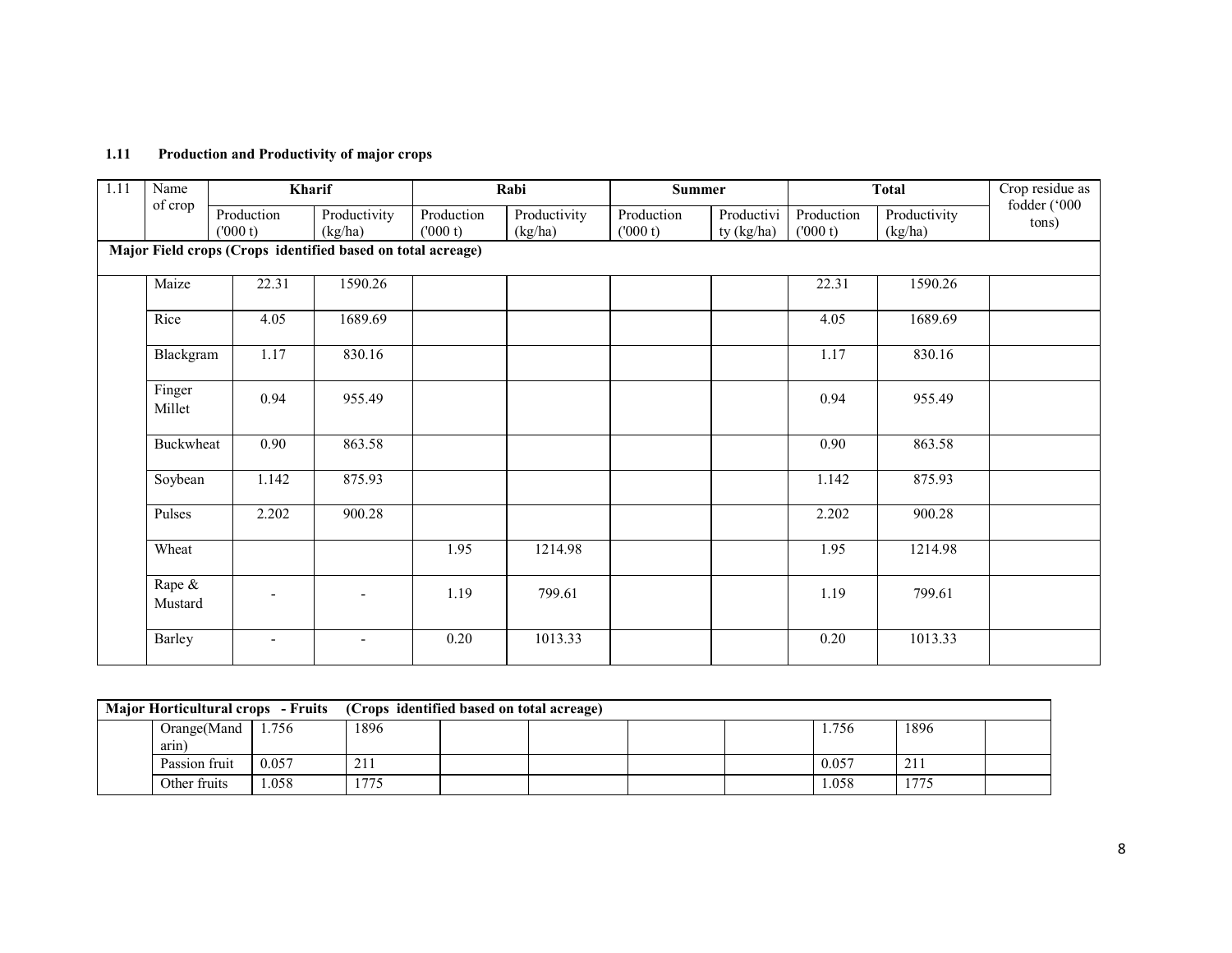#### 1.11 Production and Productivity of major crops

| 1.11 | Name                                                        |                       | Kharif                  |                       | Rabi                    | <b>Summer</b>         |                          |                       | <b>Total</b>            | Crop residue as       |
|------|-------------------------------------------------------------|-----------------------|-------------------------|-----------------------|-------------------------|-----------------------|--------------------------|-----------------------|-------------------------|-----------------------|
|      | of crop                                                     | Production<br>(000 t) | Productivity<br>(kg/ha) | Production<br>(000 t) | Productivity<br>(kg/ha) | Production<br>(000 t) | Productivi<br>ty (kg/ha) | Production<br>(000 t) | Productivity<br>(kg/ha) | fodder ('000<br>tons) |
|      | Major Field crops (Crops identified based on total acreage) |                       |                         |                       |                         |                       |                          |                       |                         |                       |
|      | Maize                                                       | 22.31                 | 1590.26                 |                       |                         |                       |                          | 22.31                 | 1590.26                 |                       |
|      | Rice                                                        | 4.05                  | 1689.69                 |                       |                         |                       |                          | 4.05                  | 1689.69                 |                       |
|      | Blackgram                                                   | 1.17                  | 830.16                  |                       |                         |                       |                          | 1.17                  | 830.16                  |                       |
|      | Finger<br>Millet                                            | 0.94                  | 955.49                  |                       |                         |                       |                          | 0.94                  | 955.49                  |                       |
|      | Buckwheat                                                   | $\overline{0.90}$     | 863.58                  |                       |                         |                       |                          | $\overline{0.90}$     | 863.58                  |                       |
|      | Soybean                                                     | 1.142                 | 875.93                  |                       |                         |                       |                          | 1.142                 | 875.93                  |                       |
|      | Pulses                                                      | 2.202                 | 900.28                  |                       |                         |                       |                          | 2.202                 | 900.28                  |                       |
|      | Wheat                                                       |                       |                         | 1.95                  | 1214.98                 |                       |                          | 1.95                  | 1214.98                 |                       |
|      | Rape &<br>Mustard                                           |                       |                         | 1.19                  | 799.61                  |                       |                          | 1.19                  | 799.61                  |                       |
|      | Barley                                                      | ۰                     |                         | 0.20                  | 1013.33                 |                       |                          | 0.20                  | 1013.33                 |                       |

|  |               |       | Major Horticultural crops - Fruits (Crops identified based on total acreage) |  |  |  |  |       |      |  |
|--|---------------|-------|------------------------------------------------------------------------------|--|--|--|--|-------|------|--|
|  | Orange(Mand   | 1.756 | !896                                                                         |  |  |  |  | 1.756 | 1896 |  |
|  | arin)         |       |                                                                              |  |  |  |  |       |      |  |
|  | Passion fruit | 0.057 | 21 I                                                                         |  |  |  |  | 0.057 | 211  |  |
|  | Other fruits  | .058  | 1775                                                                         |  |  |  |  | 1.058 | 1775 |  |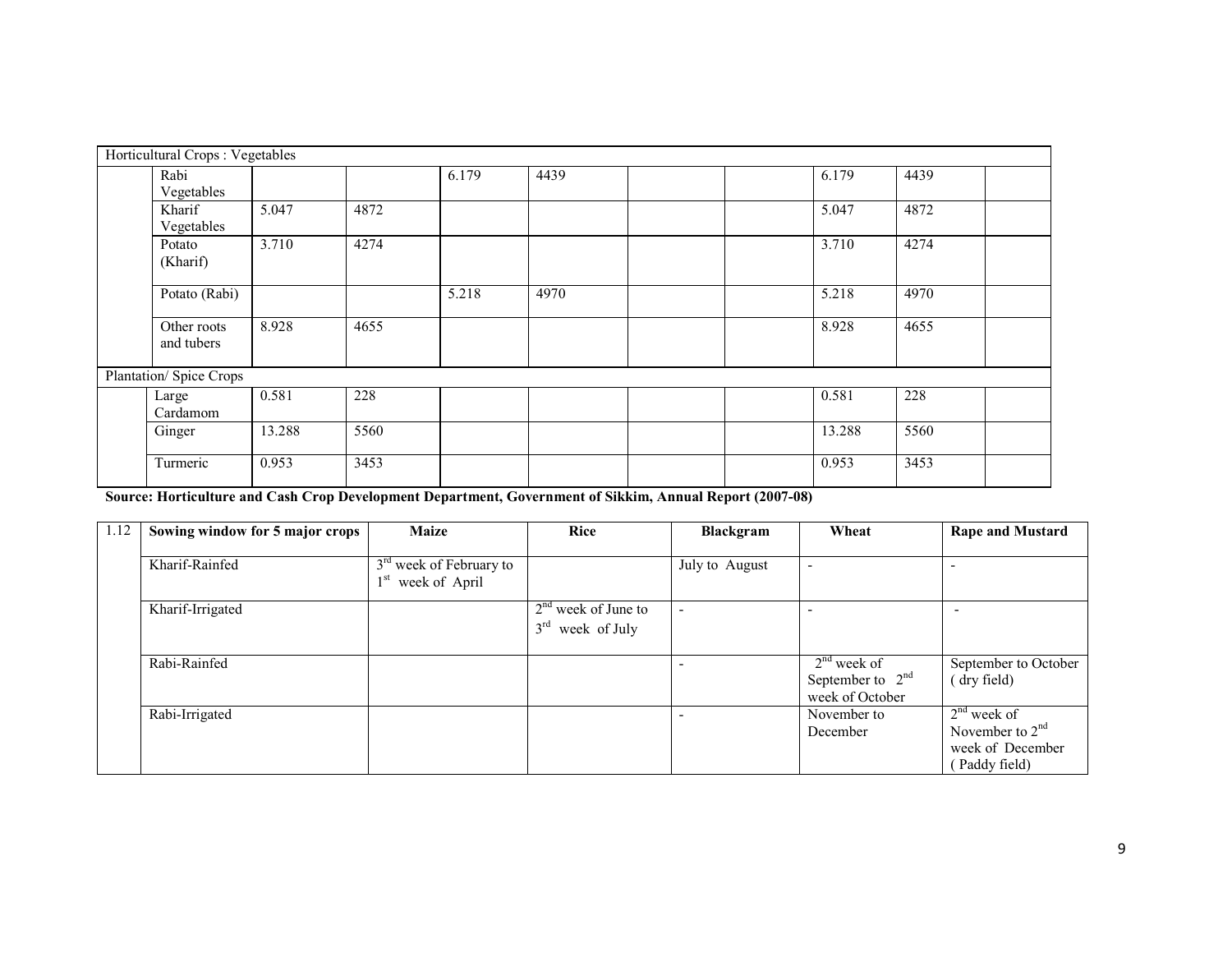| Horticultural Crops: Vegetables |        |      |       |      |  |        |      |  |
|---------------------------------|--------|------|-------|------|--|--------|------|--|
| Rabi<br>Vegetables              |        |      | 6.179 | 4439 |  | 6.179  | 4439 |  |
| Kharif<br>Vegetables            | 5.047  | 4872 |       |      |  | 5.047  | 4872 |  |
| Potato<br>(Kharif)              | 3.710  | 4274 |       |      |  | 3.710  | 4274 |  |
| Potato (Rabi)                   |        |      | 5.218 | 4970 |  | 5.218  | 4970 |  |
| Other roots<br>and tubers       | 8.928  | 4655 |       |      |  | 8.928  | 4655 |  |
| Plantation/ Spice Crops         |        |      |       |      |  |        |      |  |
| Large<br>Cardamom               | 0.581  | 228  |       |      |  | 0.581  | 228  |  |
| Ginger                          | 13.288 | 5560 |       |      |  | 13.288 | 5560 |  |
| Turmeric                        | 0.953  | 3453 |       |      |  | 0.953  | 3453 |  |

Source: Horticulture and Cash Crop Development Department, Government of Sikkim, Annual Report (2007-08)

| 1.12 | Sowing window for 5 major crops | <b>Maize</b>                                               | <b>Rice</b>                                 | Blackgram      | Wheat                                                  | <b>Rape and Mustard</b>                                                 |
|------|---------------------------------|------------------------------------------------------------|---------------------------------------------|----------------|--------------------------------------------------------|-------------------------------------------------------------------------|
|      | Kharif-Rainfed                  | 3 <sup>rd</sup> week of February to<br>$1st$ week of April |                                             | July to August | ۰                                                      | ٠                                                                       |
|      | Kharif-Irrigated                |                                                            | $2nd$ week of June to<br>$3rd$ week of July |                |                                                        |                                                                         |
|      | Rabi-Rainfed                    |                                                            |                                             |                | $2nd$ week of<br>September to $2nd$<br>week of October | September to October<br>(dry field)                                     |
|      | Rabi-Irrigated                  |                                                            |                                             |                | November to<br>December                                | $2nd$ week of<br>November to $2nd$<br>week of December<br>(Paddy field) |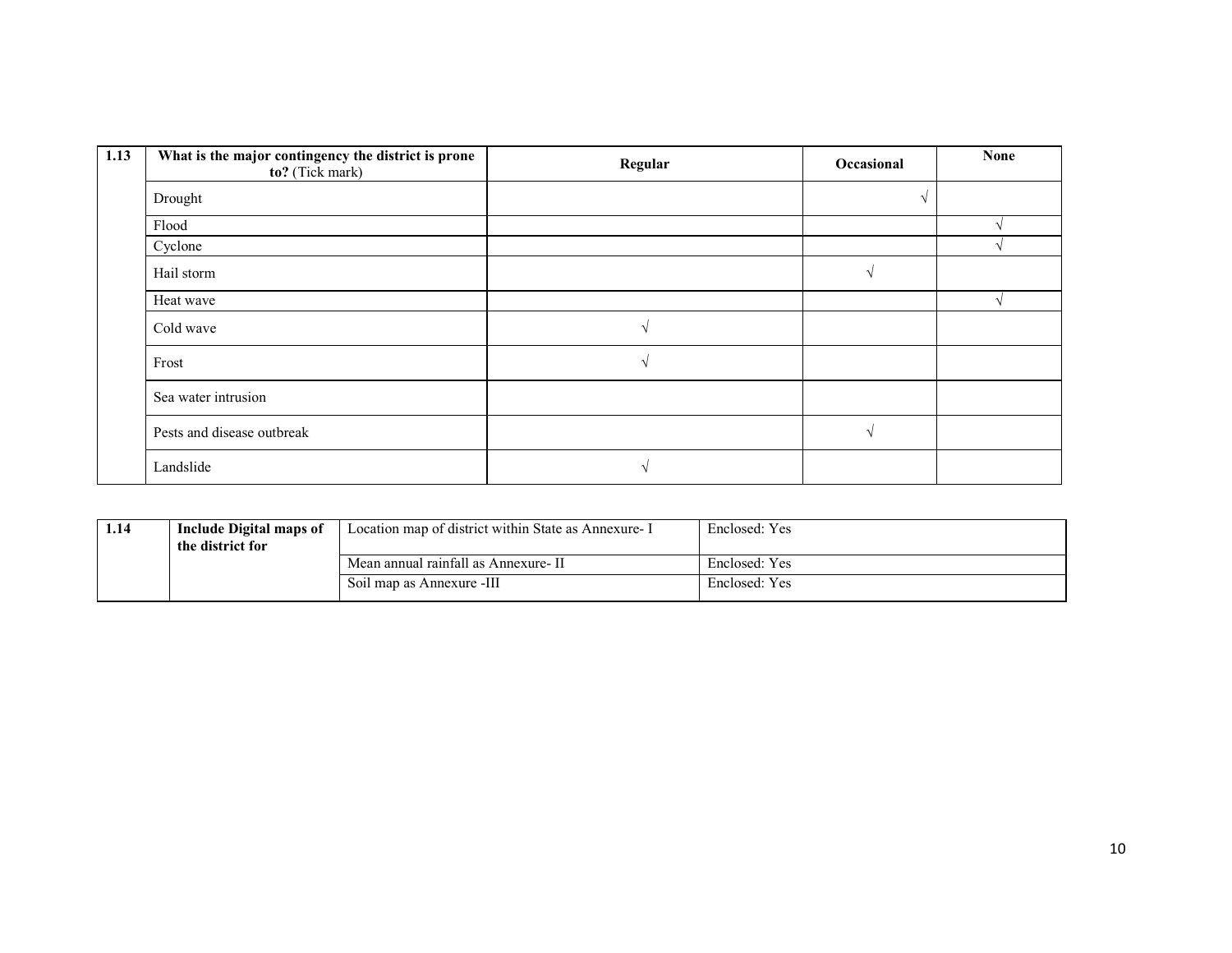| 1.13 | What is the major contingency the district is prone<br>to? (Tick mark) | Regular | Occasional    | <b>None</b> |
|------|------------------------------------------------------------------------|---------|---------------|-------------|
|      | Drought                                                                |         |               |             |
|      | Flood                                                                  |         |               |             |
|      | Cyclone                                                                |         |               |             |
|      | Hail storm                                                             |         | $\mathcal{L}$ |             |
|      | Heat wave                                                              |         |               |             |
|      | Cold wave                                                              |         |               |             |
|      | Frost                                                                  |         |               |             |
|      | Sea water intrusion                                                    |         |               |             |
|      | Pests and disease outbreak                                             |         |               |             |
|      | Landslide                                                              |         |               |             |

| 1.14 | Include Digital maps of<br>the district for | Location map of district within State as Annexure- I | Enclosed: Yes |
|------|---------------------------------------------|------------------------------------------------------|---------------|
|      |                                             | Mean annual rainfall as Annexure- II                 | Enclosed: Yes |
|      |                                             | Soil map as Annexure -III                            | Enclosed: Yes |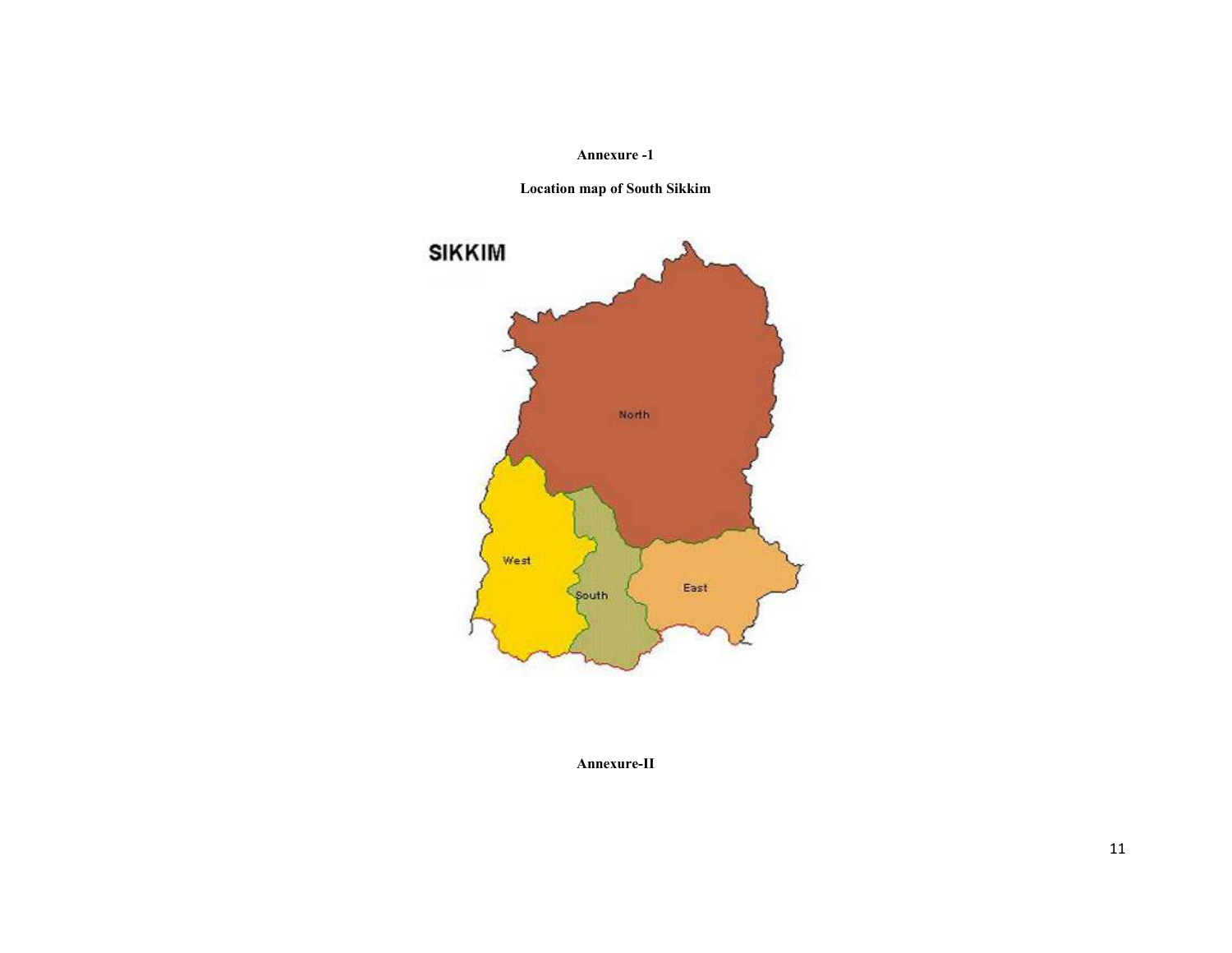#### Annexure -1

Location map of South Sikkim



Annexure-II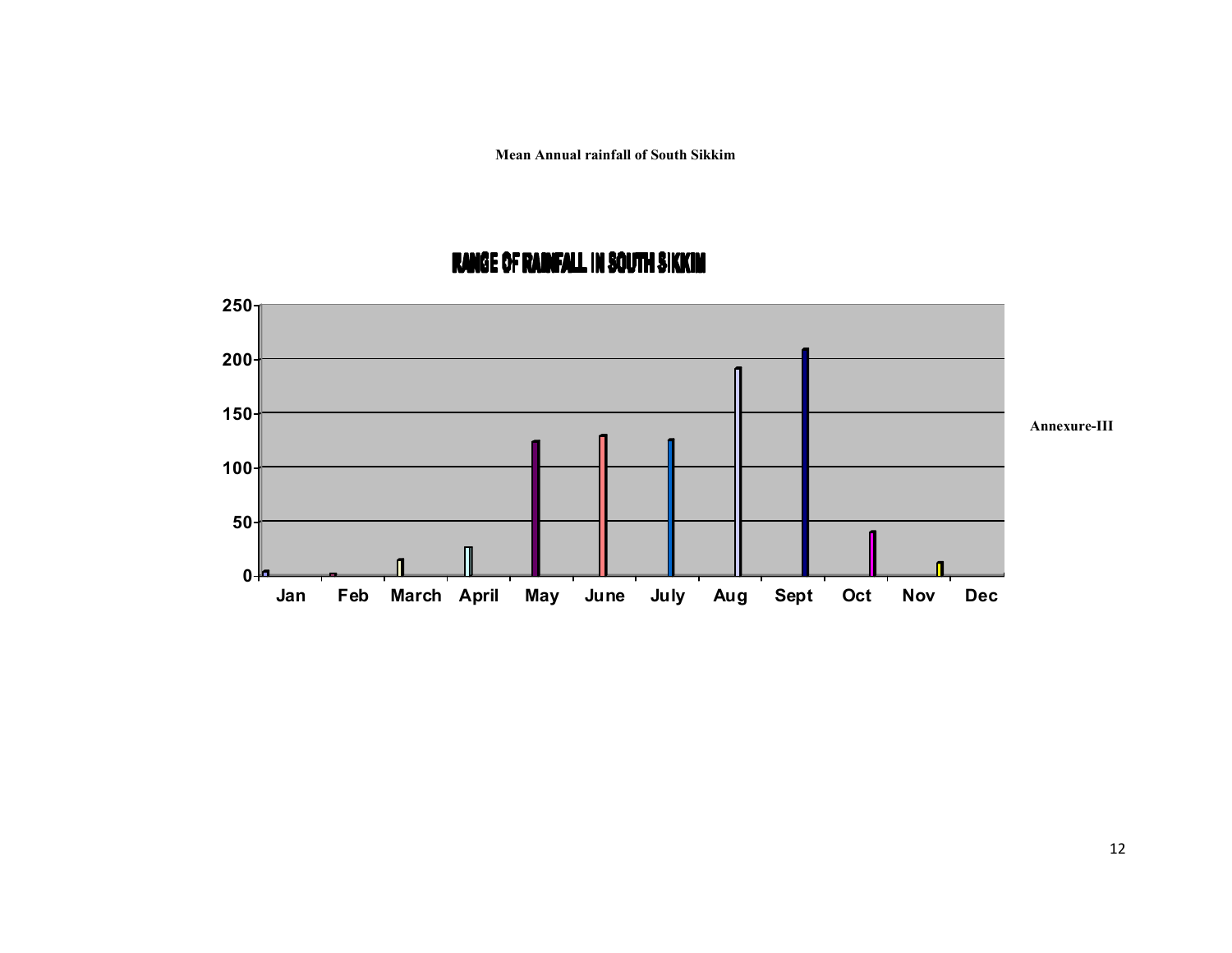Mean Annual rainfall of South Sikkim



# **RANGE OF RAINFALL IN SOUTH SIKKIM**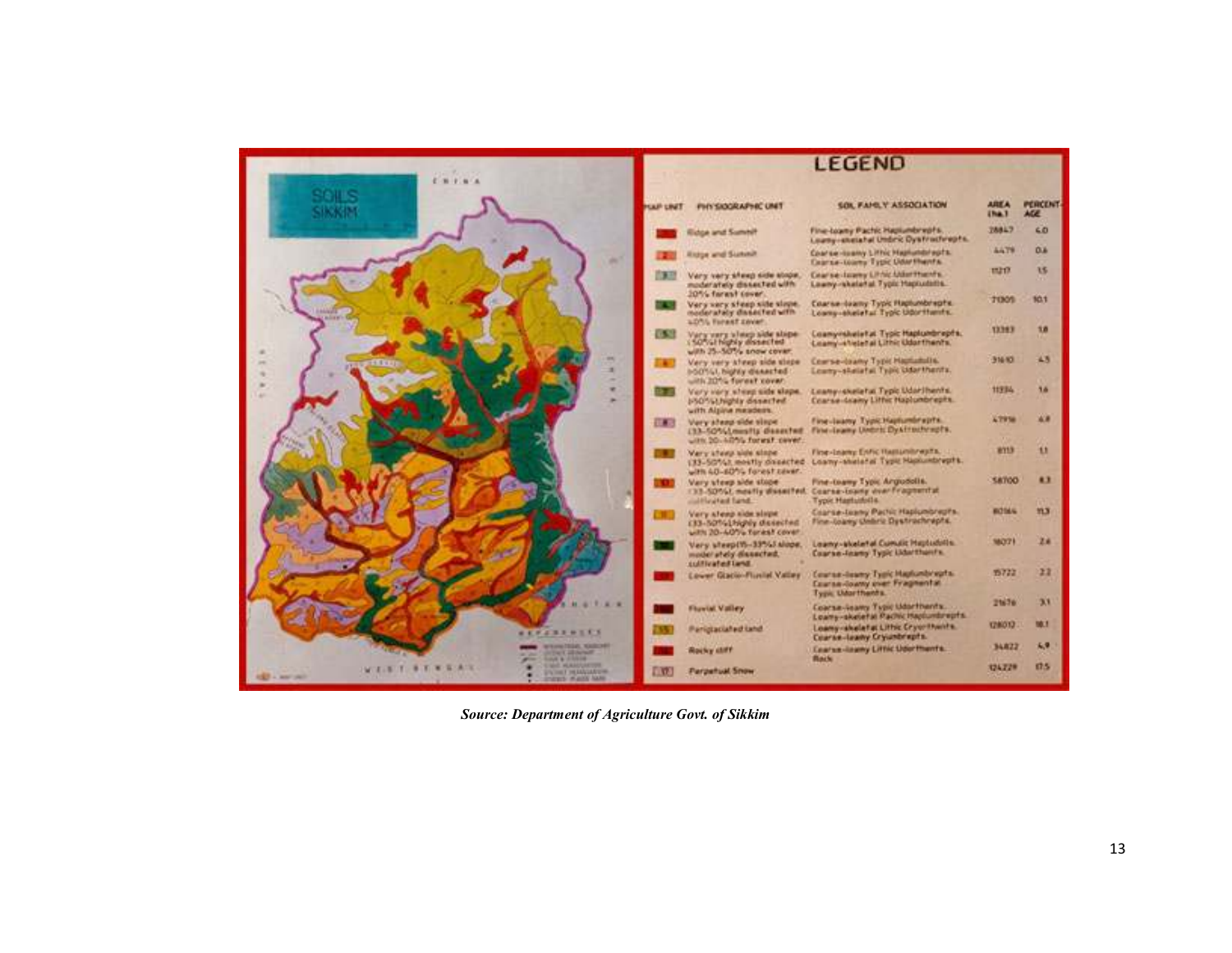

Source: Department of Agriculture Govt. of Sikkim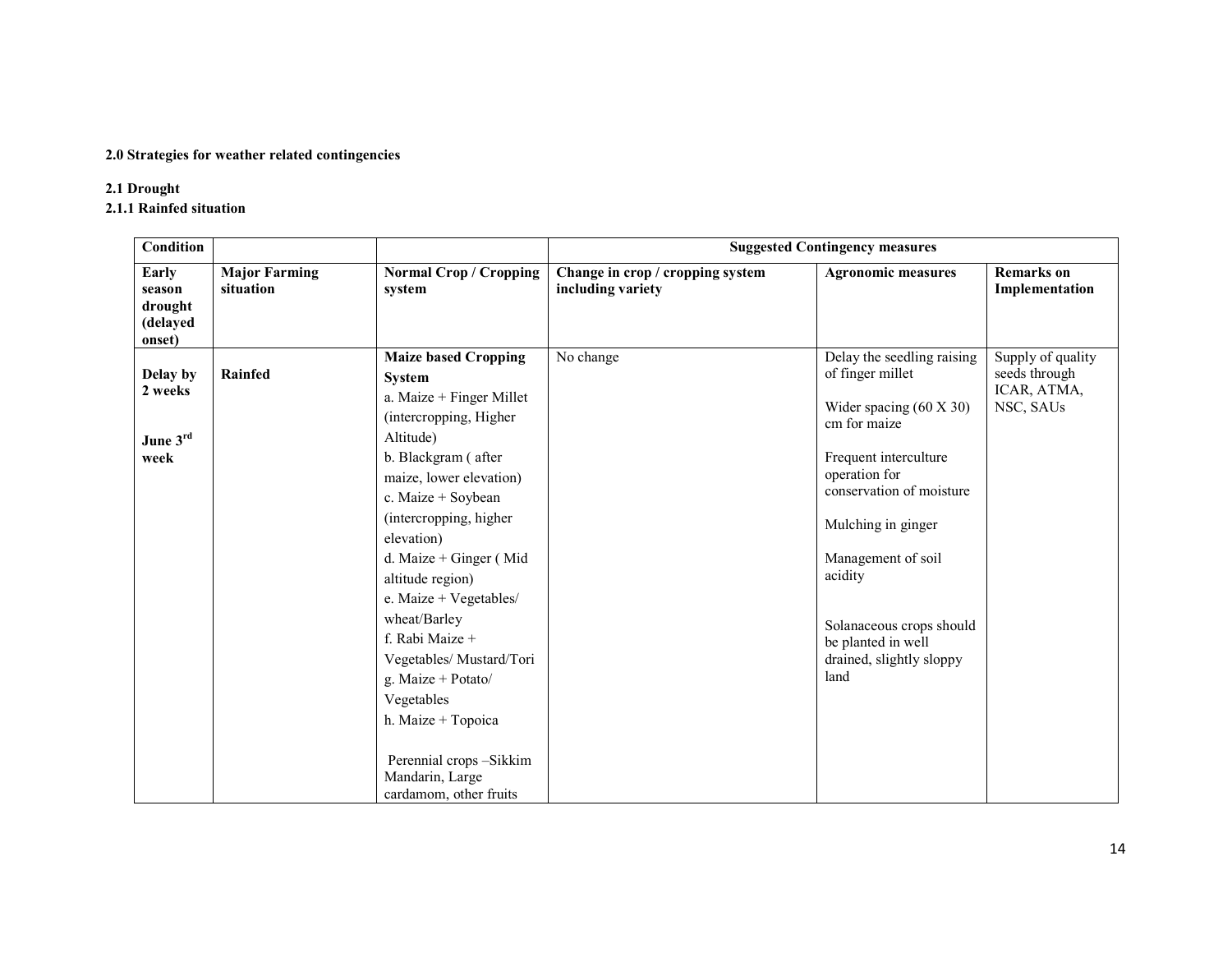#### 2.0 Strategies for weather related contingencies

## 2.1 Drought

2.1.1 Rainfed situation

| <b>Condition</b>                                 |                                   |                                                                                                                                                                                                                                                                                                                                                                                                                                                                                                           | <b>Suggested Contingency measures</b>                 |                                                                                                                                                                                                                                                                                                                     |                                                                |  |  |
|--------------------------------------------------|-----------------------------------|-----------------------------------------------------------------------------------------------------------------------------------------------------------------------------------------------------------------------------------------------------------------------------------------------------------------------------------------------------------------------------------------------------------------------------------------------------------------------------------------------------------|-------------------------------------------------------|---------------------------------------------------------------------------------------------------------------------------------------------------------------------------------------------------------------------------------------------------------------------------------------------------------------------|----------------------------------------------------------------|--|--|
| Early<br>season<br>drought<br>(delayed<br>onset) | <b>Major Farming</b><br>situation | <b>Normal Crop / Cropping</b><br>system                                                                                                                                                                                                                                                                                                                                                                                                                                                                   | Change in crop / cropping system<br>including variety | <b>Agronomic measures</b>                                                                                                                                                                                                                                                                                           | <b>Remarks</b> on<br>Implementation                            |  |  |
| Delay by<br>2 weeks<br>June 3rd<br>week          | Rainfed                           | <b>Maize based Cropping</b><br><b>System</b><br>a. Maize + Finger Millet<br>(intercropping, Higher)<br>Altitude)<br>b. Blackgram (after<br>maize, lower elevation)<br>c. Maize + Soybean<br>(intercropping, higher<br>elevation)<br>d. Maize + Ginger (Mid<br>altitude region)<br>e. Maize + Vegetables/<br>wheat/Barley<br>f. Rabi Maize +<br>Vegetables/ Mustard/Tori<br>g. Maize + Potato/<br>Vegetables<br>h. Maize + Topoica<br>Perennial crops -Sikkim<br>Mandarin, Large<br>cardamom, other fruits | No change                                             | Delay the seedling raising<br>of finger millet<br>Wider spacing $(60 \times 30)$<br>cm for maize<br>Frequent interculture<br>operation for<br>conservation of moisture<br>Mulching in ginger<br>Management of soil<br>acidity<br>Solanaceous crops should<br>be planted in well<br>drained, slightly sloppy<br>land | Supply of quality<br>seeds through<br>ICAR, ATMA,<br>NSC, SAUs |  |  |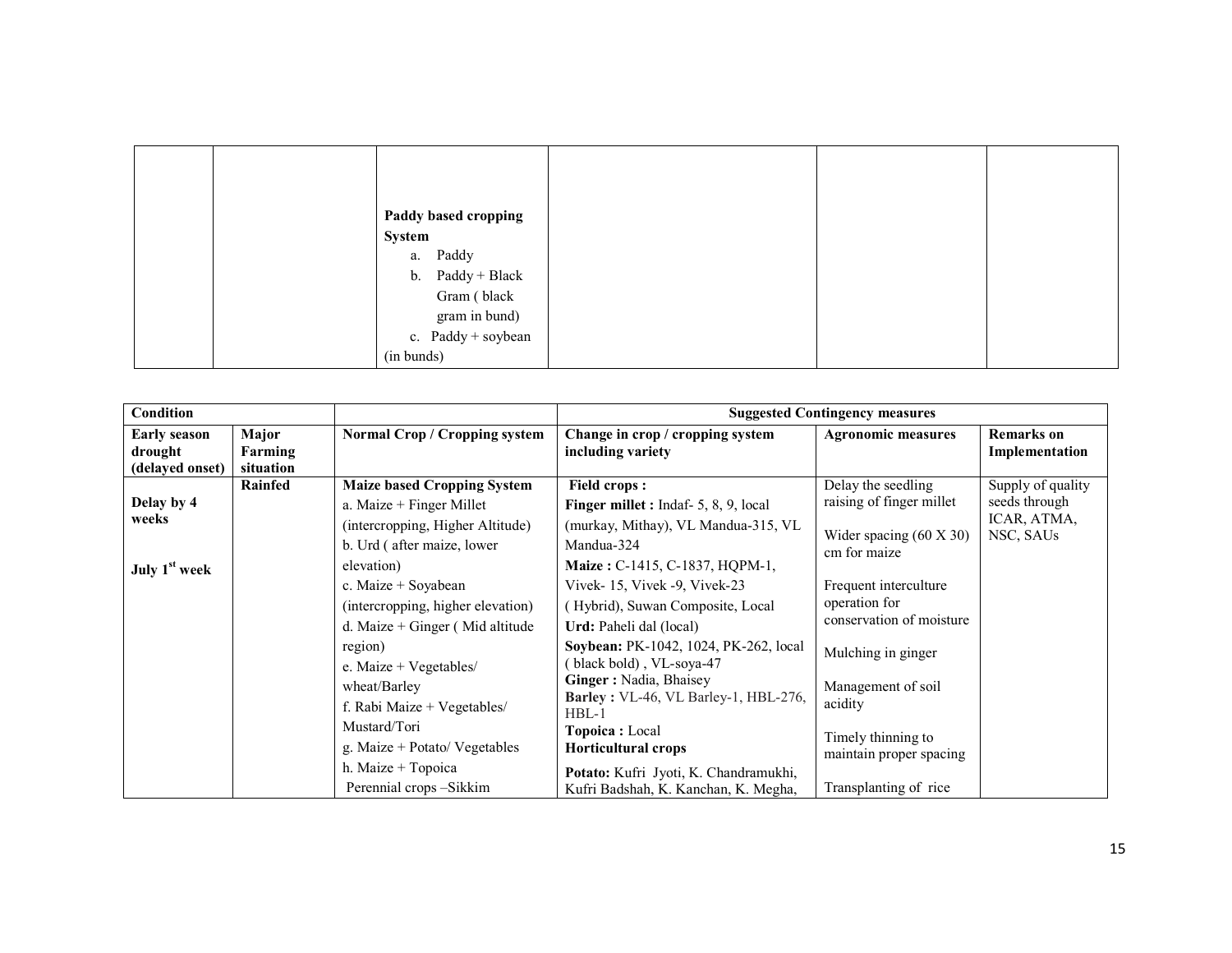| Paddy based cropping<br>System |  |  |
|--------------------------------|--|--|
| a. Paddy                       |  |  |
| b. Paddy + Black               |  |  |
| Gram (black                    |  |  |
| gram in bund)                  |  |  |
| c. $Paddy + soybean$           |  |  |
| (in bunds)                     |  |  |

| <b>Condition</b>                                  |                               |                                                                                                                                                                                                                                                            |                                                                                                                                                                                                                                                                                                                                                       | <b>Suggested Contingency measures</b>                                                                                                                                      |                                                                |
|---------------------------------------------------|-------------------------------|------------------------------------------------------------------------------------------------------------------------------------------------------------------------------------------------------------------------------------------------------------|-------------------------------------------------------------------------------------------------------------------------------------------------------------------------------------------------------------------------------------------------------------------------------------------------------------------------------------------------------|----------------------------------------------------------------------------------------------------------------------------------------------------------------------------|----------------------------------------------------------------|
| <b>Early season</b><br>drought<br>(delayed onset) | Major<br>Farming<br>situation | <b>Normal Crop / Cropping system</b>                                                                                                                                                                                                                       | Change in crop / cropping system<br>including variety                                                                                                                                                                                                                                                                                                 | <b>Agronomic measures</b>                                                                                                                                                  | <b>Remarks</b> on<br>Implementation                            |
| Delay by 4<br>weeks<br>July 1 <sup>st</sup> week  | Rainfed                       | <b>Maize based Cropping System</b><br>a. Maize $+$ Finger Millet<br>(intercropping, Higher Altitude)<br>b. Urd (after maize, lower<br>elevation)<br>c. Maize + Soyabean                                                                                    | <b>Field crops:</b><br><b>Finger millet :</b> Indaf- $5, 8, 9$ , local<br>(murkay, Mithay), VL Mandua-315, VL<br>Mandua-324<br>Maize: C-1415, C-1837, HQPM-1,<br>Vivek-15, Vivek -9, Vivek-23                                                                                                                                                         | Delay the seedling<br>raising of finger millet<br>Wider spacing $(60 \times 30)$<br>cm for maize<br>Frequent interculture                                                  | Supply of quality<br>seeds through<br>ICAR, ATMA,<br>NSC, SAUs |
|                                                   |                               | (intercropping, higher elevation)<br>d. Maize + Ginger (Mid altitude<br>region)<br>e. Maize + Vegetables/<br>wheat/Barley<br>f. Rabi Maize + Vegetables/<br>Mustard/Tori<br>g. Maize + Potato/ Vegetables<br>h. Maize + Topoica<br>Perennial crops -Sikkim | (Hybrid), Suwan Composite, Local<br>Urd: Paheli dal (local)<br>Soybean: PK-1042, 1024, PK-262, local<br>black bold), VL-soya-47<br>Ginger: Nadia, Bhaisey<br>Barley: VL-46, VL Barley-1, HBL-276,<br>$HBL-1$<br><b>Topoica</b> : Local<br><b>Horticultural crops</b><br>Potato: Kufri Jyoti, K. Chandramukhi,<br>Kufri Badshah, K. Kanchan, K. Megha, | operation for<br>conservation of moisture<br>Mulching in ginger<br>Management of soil<br>acidity<br>Timely thinning to<br>maintain proper spacing<br>Transplanting of rice |                                                                |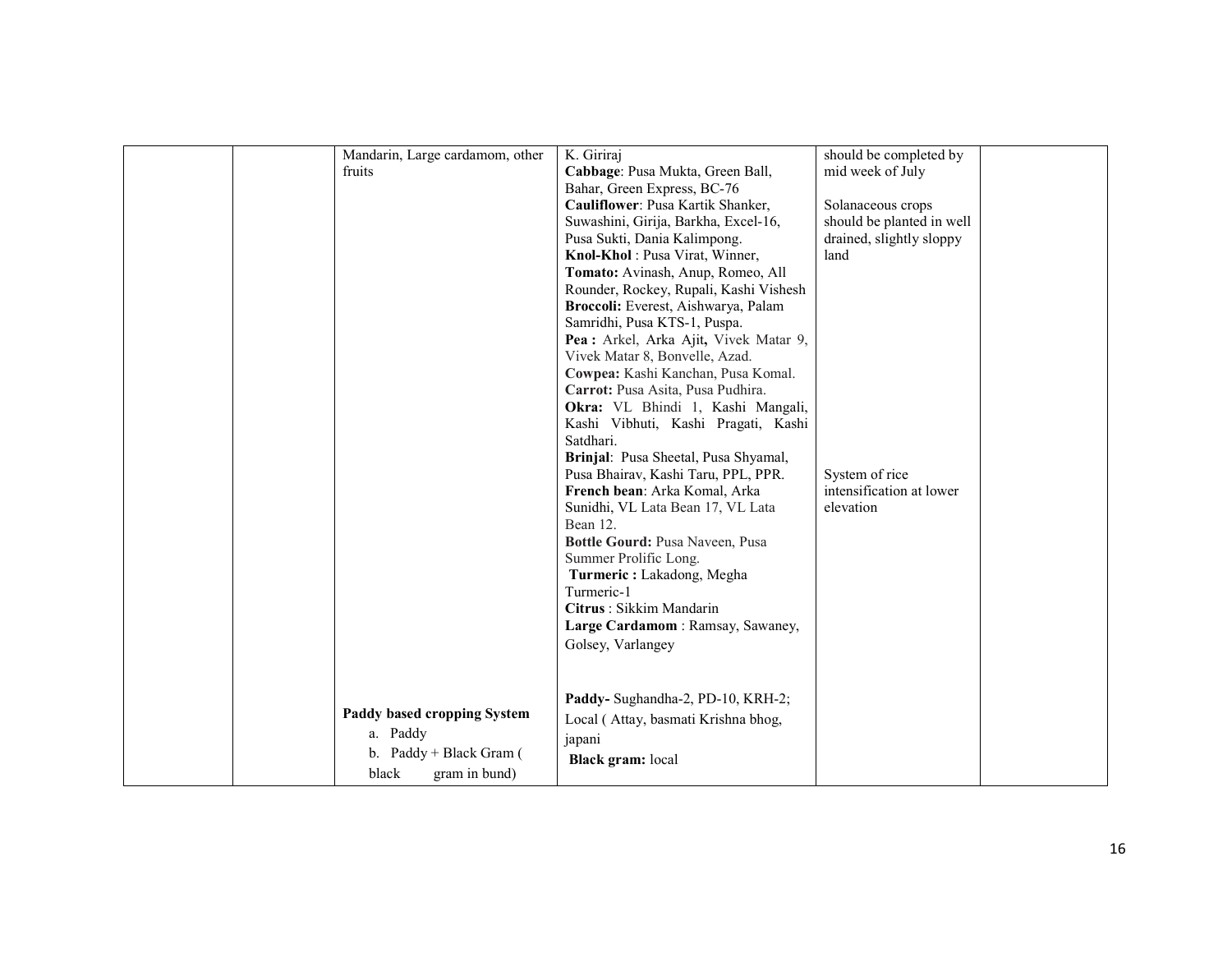| Mandarin, Large cardamom, other         | K. Giriraj                                                                                                                   | should be completed by    |
|-----------------------------------------|------------------------------------------------------------------------------------------------------------------------------|---------------------------|
| fruits                                  | Cabbage: Pusa Mukta, Green Ball,                                                                                             | mid week of July          |
|                                         | Bahar, Green Express, BC-76                                                                                                  |                           |
|                                         | Cauliflower: Pusa Kartik Shanker,                                                                                            | Solanaceous crops         |
|                                         | Suwashini, Girija, Barkha, Excel-16,                                                                                         | should be planted in well |
|                                         | Pusa Sukti, Dania Kalimpong.                                                                                                 | drained, slightly sloppy  |
|                                         | Knol-Khol: Pusa Virat, Winner,                                                                                               | land                      |
|                                         | Tomato: Avinash, Anup, Romeo, All                                                                                            |                           |
|                                         | Rounder, Rockey, Rupali, Kashi Vishesh                                                                                       |                           |
|                                         | Broccoli: Everest, Aishwarya, Palam                                                                                          |                           |
|                                         | Samridhi, Pusa KTS-1, Puspa.                                                                                                 |                           |
|                                         | Pea : Arkel, Arka Ajit, Vivek Matar 9,                                                                                       |                           |
|                                         | Vivek Matar 8, Bonvelle, Azad.                                                                                               |                           |
|                                         | Cowpea: Kashi Kanchan, Pusa Komal.                                                                                           |                           |
|                                         | Carrot: Pusa Asita, Pusa Pudhira.                                                                                            |                           |
|                                         | Okra: VL Bhindi 1, Kashi Mangali,                                                                                            |                           |
|                                         | Kashi Vibhuti, Kashi Pragati, Kashi                                                                                          |                           |
|                                         | Satdhari.                                                                                                                    |                           |
|                                         | Brinjal: Pusa Sheetal, Pusa Shyamal,                                                                                         |                           |
|                                         | Pusa Bhairav, Kashi Taru, PPL, PPR.                                                                                          | System of rice            |
|                                         | French bean: Arka Komal, Arka                                                                                                | intensification at lower  |
|                                         | Sunidhi, VL Lata Bean 17, VL Lata                                                                                            | elevation                 |
|                                         | Bean 12.                                                                                                                     |                           |
|                                         | Bottle Gourd: Pusa Naveen, Pusa                                                                                              |                           |
|                                         | Summer Prolific Long.                                                                                                        |                           |
|                                         | Turmeric: Lakadong, Megha                                                                                                    |                           |
|                                         | Turmeric-1                                                                                                                   |                           |
|                                         | Citrus: Sikkim Mandarin                                                                                                      |                           |
|                                         | Large Cardamom: Ramsay, Sawaney,                                                                                             |                           |
|                                         |                                                                                                                              |                           |
|                                         |                                                                                                                              |                           |
|                                         |                                                                                                                              |                           |
|                                         |                                                                                                                              |                           |
|                                         |                                                                                                                              |                           |
|                                         |                                                                                                                              |                           |
|                                         |                                                                                                                              |                           |
| b. Paddy + Black Gram (                 |                                                                                                                              |                           |
| black<br>gram in bund)                  |                                                                                                                              |                           |
| Paddy based cropping System<br>a. Paddy | Golsey, Varlangey<br>Paddy- Sughandha-2, PD-10, KRH-2;<br>Local (Attay, basmati Krishna bhog,<br>japani<br>Black gram: local |                           |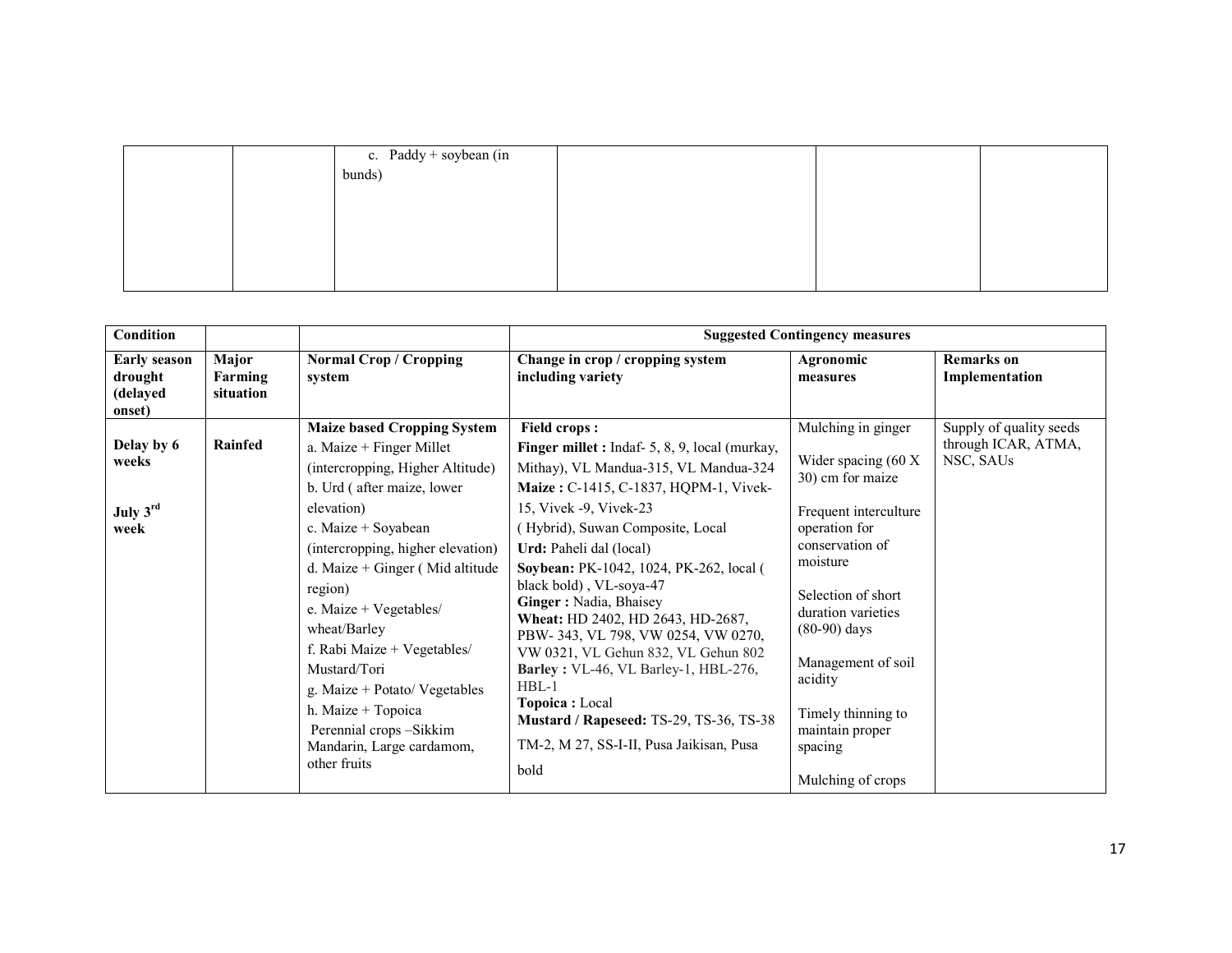|  | c. Paddy + soybean (in $\vert$ bunds) |  |  |
|--|---------------------------------------|--|--|
|  |                                       |  |  |
|  |                                       |  |  |
|  |                                       |  |  |
|  |                                       |  |  |
|  |                                       |  |  |
|  |                                       |  |  |
|  |                                       |  |  |

| <b>Condition</b>                                     |                               |                                                                                                                                                                                                                                                                                                                                                                                                                                                                                  | <b>Suggested Contingency measures</b>                                                                                                                                                                                                                                                                                                                                                                                                                                                                                                                                                                                                                 |                                                                                                                                                                                                                                                                                                                           |                                                             |  |
|------------------------------------------------------|-------------------------------|----------------------------------------------------------------------------------------------------------------------------------------------------------------------------------------------------------------------------------------------------------------------------------------------------------------------------------------------------------------------------------------------------------------------------------------------------------------------------------|-------------------------------------------------------------------------------------------------------------------------------------------------------------------------------------------------------------------------------------------------------------------------------------------------------------------------------------------------------------------------------------------------------------------------------------------------------------------------------------------------------------------------------------------------------------------------------------------------------------------------------------------------------|---------------------------------------------------------------------------------------------------------------------------------------------------------------------------------------------------------------------------------------------------------------------------------------------------------------------------|-------------------------------------------------------------|--|
| <b>Early season</b><br>drought<br>(delayed<br>onset) | Major<br>Farming<br>situation | <b>Normal Crop / Cropping</b><br>system                                                                                                                                                                                                                                                                                                                                                                                                                                          | Change in crop / cropping system<br>including variety                                                                                                                                                                                                                                                                                                                                                                                                                                                                                                                                                                                                 | Agronomic<br>measures                                                                                                                                                                                                                                                                                                     | <b>Remarks</b> on<br>Implementation                         |  |
| Delay by 6<br>weeks<br>July 3rd<br>week              | Rainfed                       | <b>Maize based Cropping System</b><br>a. Maize + Finger Millet<br>(intercropping, Higher Altitude)<br>b. Urd (after maize, lower<br>elevation)<br>c. Maize + Soyabean<br>(intercropping, higher elevation)<br>d. Maize + Ginger (Mid altitude<br>region)<br>e. Maize + Vegetables/<br>wheat/Barley<br>f. Rabi Maize + Vegetables/<br>Mustard/Tori<br>g. Maize + Potato/ Vegetables<br>h. Maize + Topoica<br>Perennial crops -Sikkim<br>Mandarin, Large cardamom,<br>other fruits | <b>Field crops:</b><br><b>Finger millet :</b> Indaf- 5, 8, 9, local (murkay,<br>Mithay), VL Mandua-315, VL Mandua-324<br>Maize: C-1415, C-1837, HQPM-1, Vivek-<br>15, Vivek -9, Vivek-23<br>(Hybrid), Suwan Composite, Local<br>Urd: Paheli dal (local)<br>Soybean: PK-1042, 1024, PK-262, local (<br>black bold), VL-soya-47<br>Ginger: Nadia, Bhaisey<br>Wheat: HD 2402, HD 2643, HD-2687,<br>PBW-343, VL 798, VW 0254, VW 0270,<br>VW 0321, VL Gehun 832, VL Gehun 802<br>Barley: VL-46, VL Barley-1, HBL-276,<br>$HBL-1$<br><b>Topoica</b> : Local<br>Mustard / Rapeseed: TS-29, TS-36, TS-38<br>TM-2, M 27, SS-I-II, Pusa Jaikisan, Pusa<br>bold | Mulching in ginger<br>Wider spacing $(60 \text{ X})$<br>30) cm for maize<br>Frequent interculture<br>operation for<br>conservation of<br>moisture<br>Selection of short<br>duration varieties<br>$(80-90)$ days<br>Management of soil<br>acidity<br>Timely thinning to<br>maintain proper<br>spacing<br>Mulching of crops | Supply of quality seeds<br>through ICAR, ATMA,<br>NSC, SAUs |  |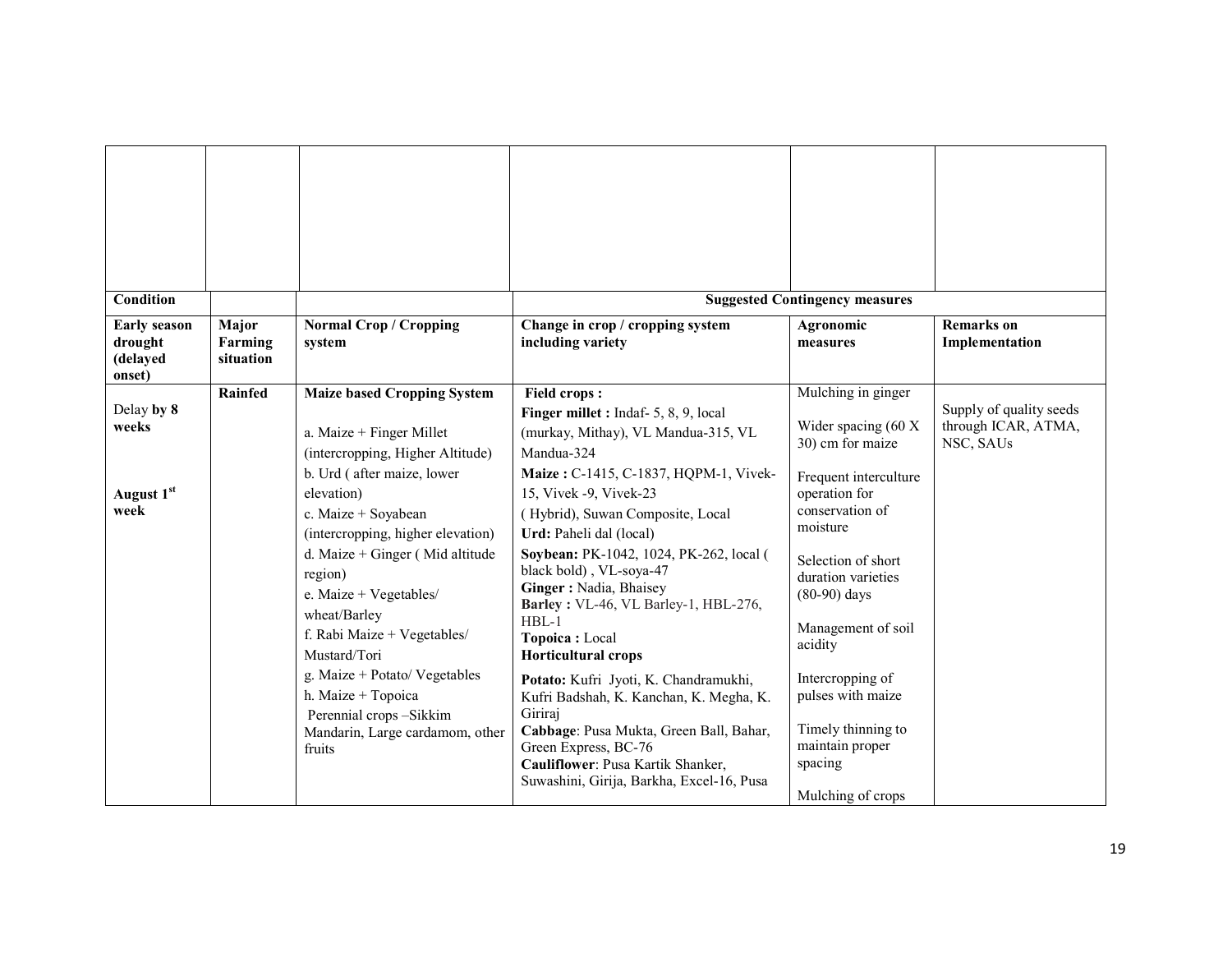| Condition                                             |                               |                                                                                                                                                                                                                                                                                                                                                                                                                                                                                 |                                                                                                                                                                                                                                                                                                                                                                                                                                                                                                                                                                                                                                                                                                            | <b>Suggested Contingency measures</b>                                                                                                                                                                                                                                                                                                                   |                                                             |
|-------------------------------------------------------|-------------------------------|---------------------------------------------------------------------------------------------------------------------------------------------------------------------------------------------------------------------------------------------------------------------------------------------------------------------------------------------------------------------------------------------------------------------------------------------------------------------------------|------------------------------------------------------------------------------------------------------------------------------------------------------------------------------------------------------------------------------------------------------------------------------------------------------------------------------------------------------------------------------------------------------------------------------------------------------------------------------------------------------------------------------------------------------------------------------------------------------------------------------------------------------------------------------------------------------------|---------------------------------------------------------------------------------------------------------------------------------------------------------------------------------------------------------------------------------------------------------------------------------------------------------------------------------------------------------|-------------------------------------------------------------|
| <b>Early season</b><br>drought<br>(delayed<br>onset)  | Major<br>Farming<br>situation | <b>Normal Crop / Cropping</b><br>system                                                                                                                                                                                                                                                                                                                                                                                                                                         | Change in crop / cropping system<br>including variety                                                                                                                                                                                                                                                                                                                                                                                                                                                                                                                                                                                                                                                      | Agronomic<br>measures                                                                                                                                                                                                                                                                                                                                   | <b>Remarks</b> on<br>Implementation                         |
| Delay by 8<br>weeks<br>August 1 <sup>st</sup><br>week | <b>Rainfed</b>                | <b>Maize based Cropping System</b><br>a. Maize + Finger Millet<br>(intercropping, Higher Altitude)<br>b. Urd (after maize, lower<br>elevation)<br>c. Maize + Soyabean<br>(intercropping, higher elevation)<br>d. Maize + Ginger (Mid altitude<br>region)<br>e. Maize + Vegetables/<br>wheat/Barley<br>f. Rabi Maize + Vegetables/<br>Mustard/Tori<br>g. Maize + Potato/ Vegetables<br>h. Maize + Topoica<br>Perennial crops-Sikkim<br>Mandarin, Large cardamom, other<br>fruits | <b>Field crops:</b><br>Finger millet : Indaf- 5, 8, 9, local<br>(murkay, Mithay), VL Mandua-315, VL<br>Mandua-324<br>Maize: C-1415, C-1837, HQPM-1, Vivek-<br>15, Vivek -9, Vivek-23<br>(Hybrid), Suwan Composite, Local<br>Urd: Paheli dal (local)<br>Soybean: PK-1042, 1024, PK-262, local (<br>black bold), VL-soya-47<br>Ginger: Nadia, Bhaisey<br>Barley: VL-46, VL Barley-1, HBL-276,<br>$HBL-1$<br>Topoica: Local<br><b>Horticultural crops</b><br>Potato: Kufri Jyoti, K. Chandramukhi,<br>Kufri Badshah, K. Kanchan, K. Megha, K.<br>Giriraj<br>Cabbage: Pusa Mukta, Green Ball, Bahar,<br>Green Express, BC-76<br>Cauliflower: Pusa Kartik Shanker,<br>Suwashini, Girija, Barkha, Excel-16, Pusa | Mulching in ginger<br>Wider spacing (60 X<br>30) cm for maize<br>Frequent interculture<br>operation for<br>conservation of<br>moisture<br>Selection of short<br>duration varieties<br>$(80-90)$ days<br>Management of soil<br>acidity<br>Intercropping of<br>pulses with maize<br>Timely thinning to<br>maintain proper<br>spacing<br>Mulching of crops | Supply of quality seeds<br>through ICAR, ATMA,<br>NSC, SAUs |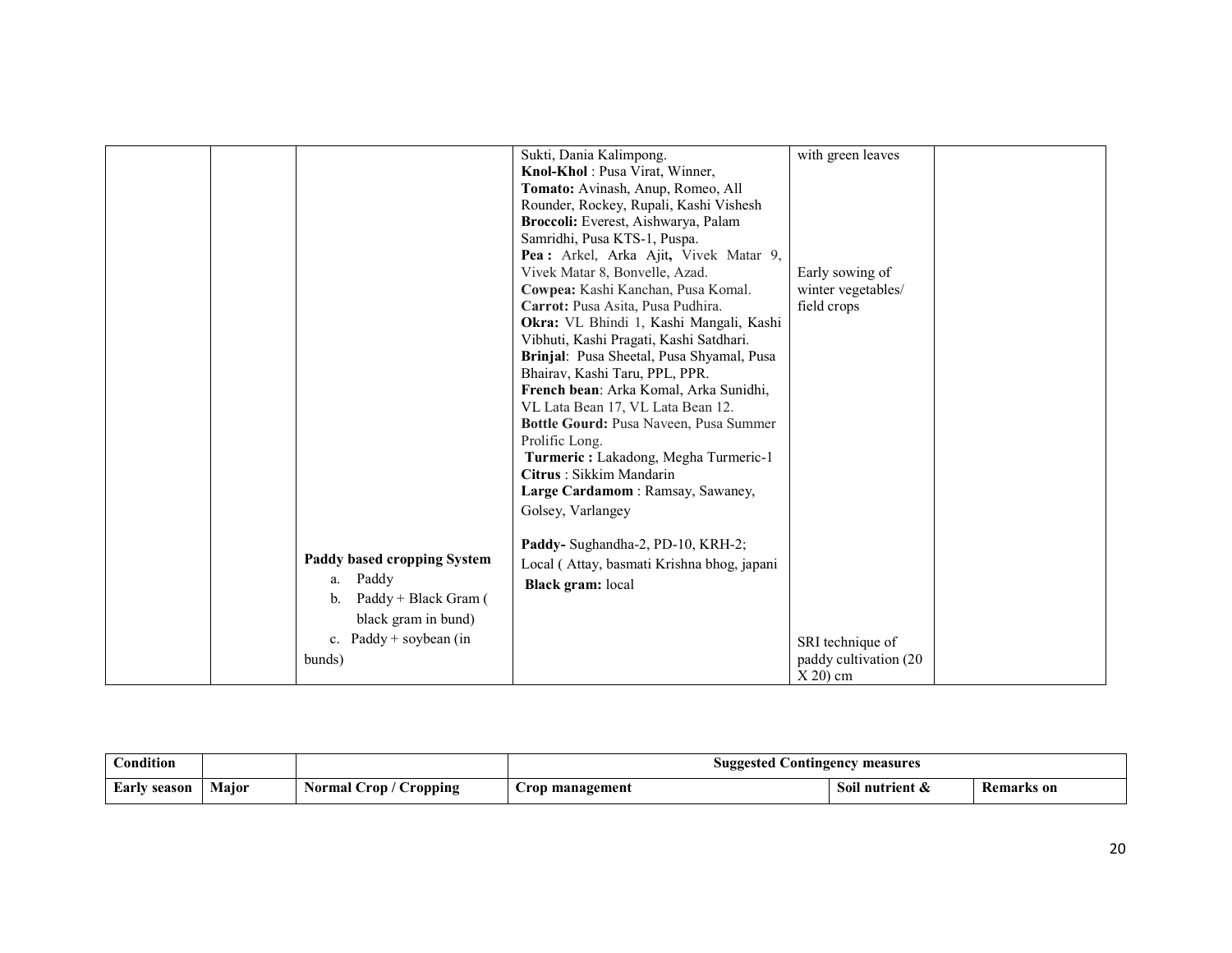|                                                                                                                                     | Sukti, Dania Kalimpong.<br>Knol-Khol: Pusa Virat, Winner,<br>Tomato: Avinash, Anup, Romeo, All<br>Rounder, Rockey, Rupali, Kashi Vishesh<br>Broccoli: Everest, Aishwarya, Palam<br>Samridhi, Pusa KTS-1, Puspa.<br>Pea: Arkel, Arka Ajit, Vivek Matar 9,<br>Vivek Matar 8, Bonvelle, Azad.<br>Cowpea: Kashi Kanchan, Pusa Komal.<br>Carrot: Pusa Asita, Pusa Pudhira.<br><b>Okra:</b> VL Bhindi 1, Kashi Mangali, Kashi<br>Vibhuti, Kashi Pragati, Kashi Satdhari.<br>Brinjal: Pusa Sheetal, Pusa Shyamal, Pusa<br>Bhairav, Kashi Taru, PPL, PPR.<br>French bean: Arka Komal, Arka Sunidhi,<br>VL Lata Bean 17, VL Lata Bean 12.<br>Bottle Gourd: Pusa Naveen, Pusa Summer | with green leaves<br>Early sowing of<br>winter vegetables/<br>field crops |  |
|-------------------------------------------------------------------------------------------------------------------------------------|----------------------------------------------------------------------------------------------------------------------------------------------------------------------------------------------------------------------------------------------------------------------------------------------------------------------------------------------------------------------------------------------------------------------------------------------------------------------------------------------------------------------------------------------------------------------------------------------------------------------------------------------------------------------------|---------------------------------------------------------------------------|--|
| Paddy based cropping System<br>Paddy<br>a.<br>Paddy + Black Gram (<br>b.<br>black gram in bund)<br>c. Paddy + soybean (in<br>bunds) | Prolific Long.<br>Turmeric: Lakadong, Megha Turmeric-1<br>Citrus: Sikkim Mandarin<br>Large Cardamom: Ramsay, Sawaney,<br>Golsey, Varlangey<br>Paddy- Sughandha-2, PD-10, KRH-2;<br>Local (Attay, basmati Krishna bhog, japani<br><b>Black gram:</b> local                                                                                                                                                                                                                                                                                                                                                                                                                  | SRI technique of<br>paddy cultivation (20<br>$X$ 20) cm                   |  |

| Condition       |       |                                | <b>Suggested Contingency measures</b> |                 |                   |
|-----------------|-------|--------------------------------|---------------------------------------|-----------------|-------------------|
| Early<br>season | Major | <b>Normal Crop</b><br>Cropping | Crop management                       | Soil nutrient & | <b>Remarks</b> on |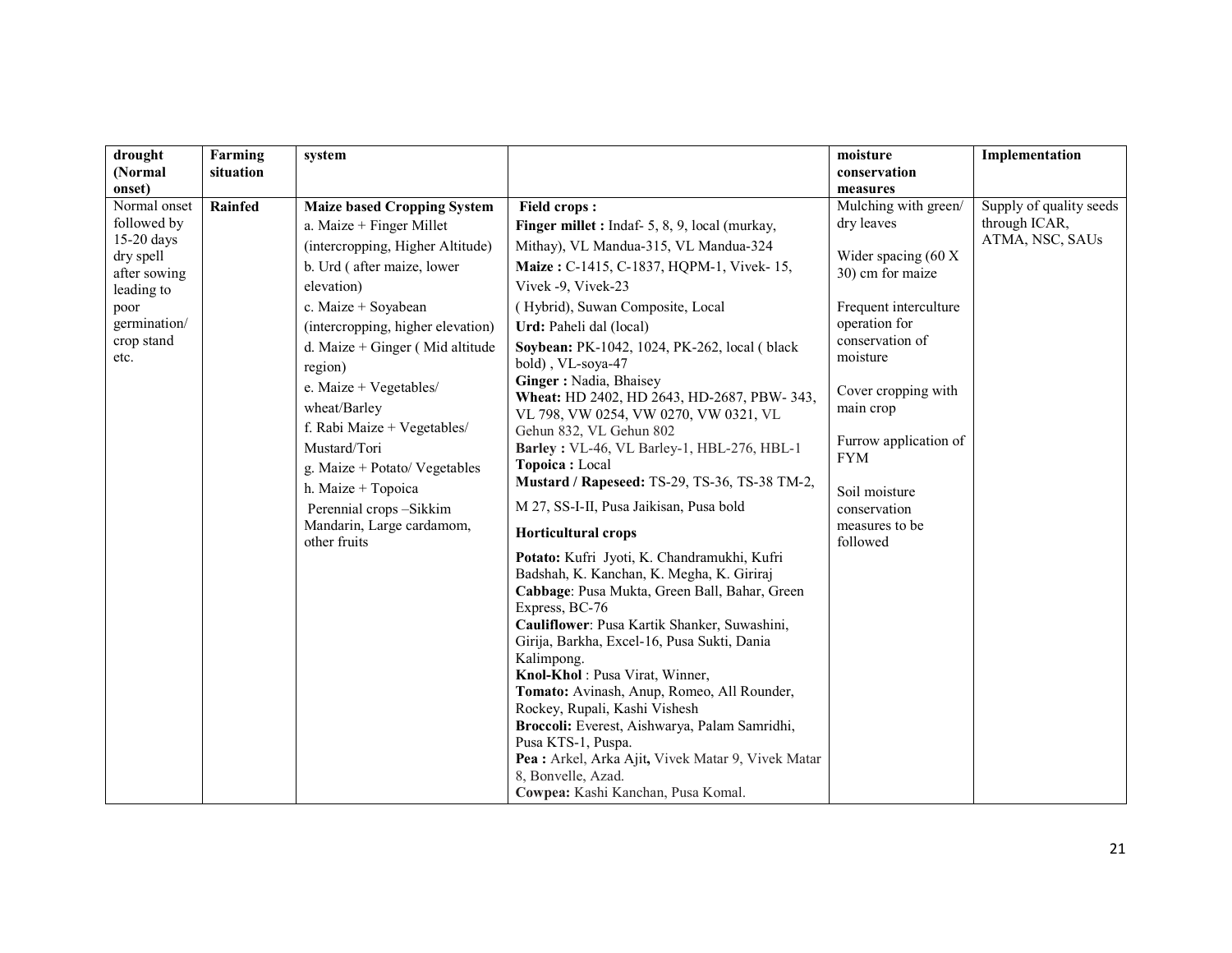| drought                | Farming        | system                                              |                                                                     | moisture                         | Implementation          |
|------------------------|----------------|-----------------------------------------------------|---------------------------------------------------------------------|----------------------------------|-------------------------|
| (Normal                | situation      |                                                     |                                                                     | conservation                     |                         |
| onset)<br>Normal onset | <b>Rainfed</b> | <b>Maize based Cropping System</b>                  | <b>Field crops:</b>                                                 | measures<br>Mulching with green/ | Supply of quality seeds |
| followed by            |                | a. Maize $+$ Finger Millet                          | Finger millet : Indaf- 5, 8, 9, local (murkay,                      | dry leaves                       | through ICAR,           |
| 15-20 days             |                | (intercropping, Higher Altitude)                    | Mithay), VL Mandua-315, VL Mandua-324                               |                                  | ATMA, NSC, SAUs         |
| dry spell              |                | b. Urd (after maize, lower                          | Maize: C-1415, C-1837, HQPM-1, Vivek-15,                            | Wider spacing (60 X              |                         |
| after sowing           |                | elevation)                                          | Vivek -9, Vivek-23                                                  | 30) cm for maize                 |                         |
| leading to<br>poor     |                | c. Maize + Soyabean                                 | (Hybrid), Suwan Composite, Local                                    | Frequent interculture            |                         |
| germination/           |                | (intercropping, higher elevation)                   | Urd: Paheli dal (local)                                             | operation for                    |                         |
| crop stand             |                | d. Maize + Ginger (Mid altitude                     | Soybean: PK-1042, 1024, PK-262, local (black                        | conservation of                  |                         |
| etc.                   |                |                                                     | bold), VL-soya-47                                                   | moisture                         |                         |
|                        |                | region)<br>e. Maize + Vegetables/                   | Ginger: Nadia, Bhaisey                                              |                                  |                         |
|                        |                | wheat/Barley                                        | Wheat: HD 2402, HD 2643, HD-2687, PBW- 343,                         | Cover cropping with              |                         |
|                        |                |                                                     | VL 798, VW 0254, VW 0270, VW 0321, VL                               | main crop                        |                         |
|                        |                | f. Rabi Maize + Vegetables/<br>Mustard/Tori         | Gehun 832, VL Gehun 802                                             | Furrow application of            |                         |
|                        |                |                                                     | Barley: VL-46, VL Barley-1, HBL-276, HBL-1<br>Topoica: Local        | <b>FYM</b>                       |                         |
|                        |                | g. Maize + Potato/ Vegetables<br>h. Maize + Topoica | Mustard / Rapeseed: TS-29, TS-36, TS-38 TM-2,                       |                                  |                         |
|                        |                |                                                     | M 27, SS-I-II, Pusa Jaikisan, Pusa bold                             | Soil moisture                    |                         |
|                        |                | Perennial crops-Sikkim<br>Mandarin, Large cardamom, |                                                                     | conservation<br>measures to be   |                         |
|                        |                | other fruits                                        | <b>Horticultural crops</b>                                          | followed                         |                         |
|                        |                |                                                     | Potato: Kufri Jyoti, K. Chandramukhi, Kufri                         |                                  |                         |
|                        |                |                                                     | Badshah, K. Kanchan, K. Megha, K. Giriraj                           |                                  |                         |
|                        |                |                                                     | Cabbage: Pusa Mukta, Green Ball, Bahar, Green                       |                                  |                         |
|                        |                |                                                     | Express, BC-76<br>Cauliflower: Pusa Kartik Shanker, Suwashini,      |                                  |                         |
|                        |                |                                                     | Girija, Barkha, Excel-16, Pusa Sukti, Dania                         |                                  |                         |
|                        |                |                                                     | Kalimpong.                                                          |                                  |                         |
|                        |                |                                                     | Knol-Khol: Pusa Virat, Winner,                                      |                                  |                         |
|                        |                |                                                     | Tomato: Avinash, Anup, Romeo, All Rounder,                          |                                  |                         |
|                        |                |                                                     | Rockey, Rupali, Kashi Vishesh                                       |                                  |                         |
|                        |                |                                                     | Broccoli: Everest, Aishwarya, Palam Samridhi,<br>Pusa KTS-1, Puspa. |                                  |                         |
|                        |                |                                                     | Pea : Arkel, Arka Ajit, Vivek Matar 9, Vivek Matar                  |                                  |                         |
|                        |                |                                                     | 8, Bonvelle, Azad.                                                  |                                  |                         |
|                        |                |                                                     | Cowpea: Kashi Kanchan, Pusa Komal.                                  |                                  |                         |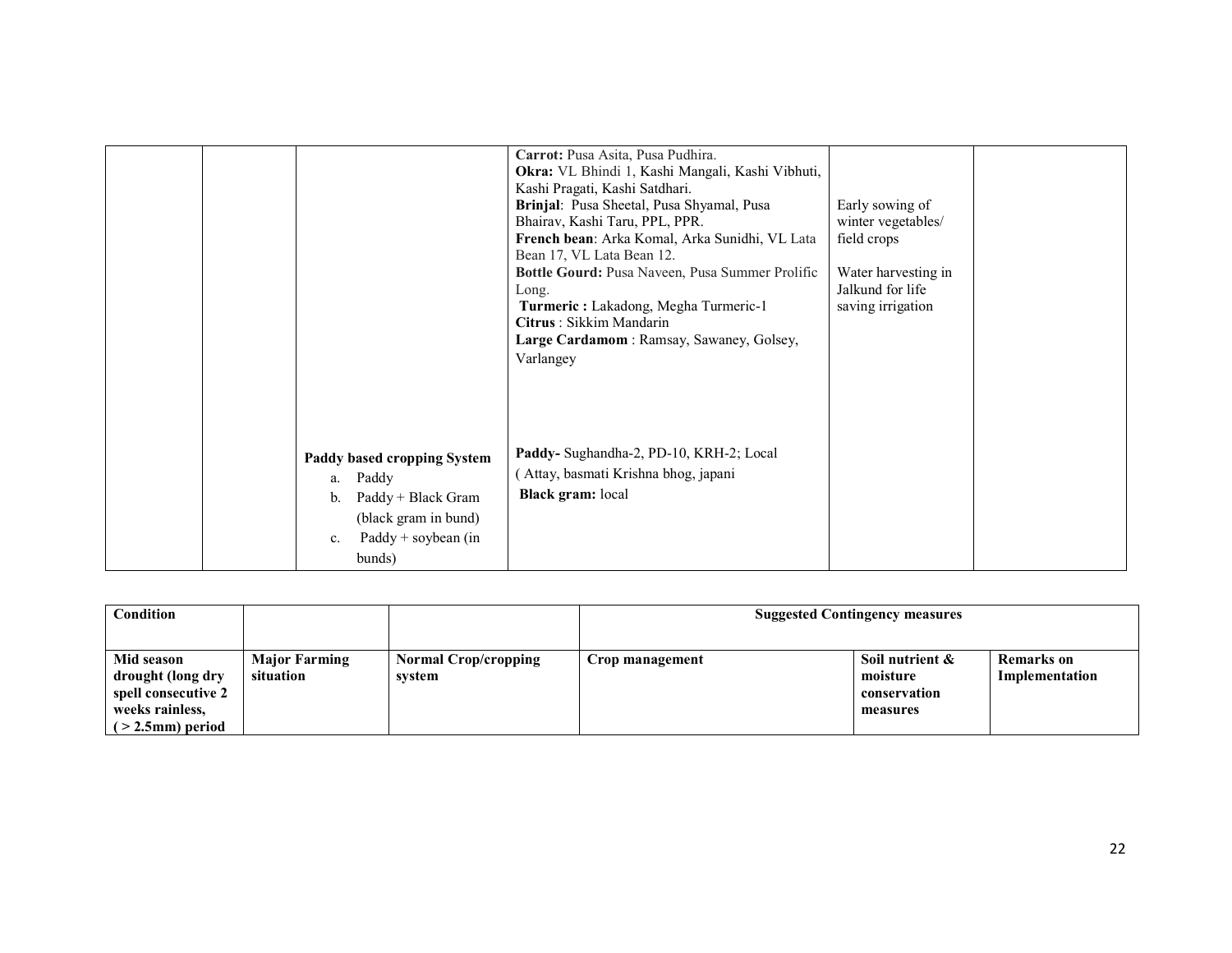|                                                                                                                                         | Carrot: Pusa Asita, Pusa Pudhira.<br>Okra: VL Bhindi 1, Kashi Mangali, Kashi Vibhuti,<br>Kashi Pragati, Kashi Satdhari.<br>Brinjal: Pusa Sheetal, Pusa Shyamal, Pusa<br>Bhairav, Kashi Taru, PPL, PPR.<br>French bean: Arka Komal, Arka Sunidhi, VL Lata<br>Bean 17, VL Lata Bean 12.<br>Bottle Gourd: Pusa Naveen, Pusa Summer Prolific<br>Long.<br>Turmeric: Lakadong, Megha Turmeric-1<br>Citrus: Sikkim Mandarin<br>Large Cardamom: Ramsay, Sawaney, Golsey,<br>Varlangey | Early sowing of<br>winter vegetables/<br>field crops<br>Water harvesting in<br>Jalkund for life<br>saving irrigation |  |
|-----------------------------------------------------------------------------------------------------------------------------------------|-------------------------------------------------------------------------------------------------------------------------------------------------------------------------------------------------------------------------------------------------------------------------------------------------------------------------------------------------------------------------------------------------------------------------------------------------------------------------------|----------------------------------------------------------------------------------------------------------------------|--|
| Paddy based cropping System<br>Paddy<br>a.<br>Paddy + Black Gram<br>b.<br>(black gram in bund)<br>$Paddy + soybean (in$<br>c.<br>bunds) | Paddy- Sughandha-2, PD-10, KRH-2; Local<br>Attay, basmati Krishna bhog, japani<br><b>Black gram:</b> local                                                                                                                                                                                                                                                                                                                                                                    |                                                                                                                      |  |

| Condition           |                      |                             |                 | <b>Suggested Contingency measures</b> |                   |
|---------------------|----------------------|-----------------------------|-----------------|---------------------------------------|-------------------|
|                     |                      |                             |                 |                                       |                   |
| Mid season          | <b>Major Farming</b> | <b>Normal Crop/cropping</b> | Crop management | Soil nutrient &                       | <b>Remarks</b> on |
| drought (long dry   | situation            | system                      |                 | moisture                              | Implementation    |
| spell consecutive 2 |                      |                             |                 | conservation                          |                   |
| weeks rainless,     |                      |                             |                 | measures                              |                   |
| $($ > 2.5mm) period |                      |                             |                 |                                       |                   |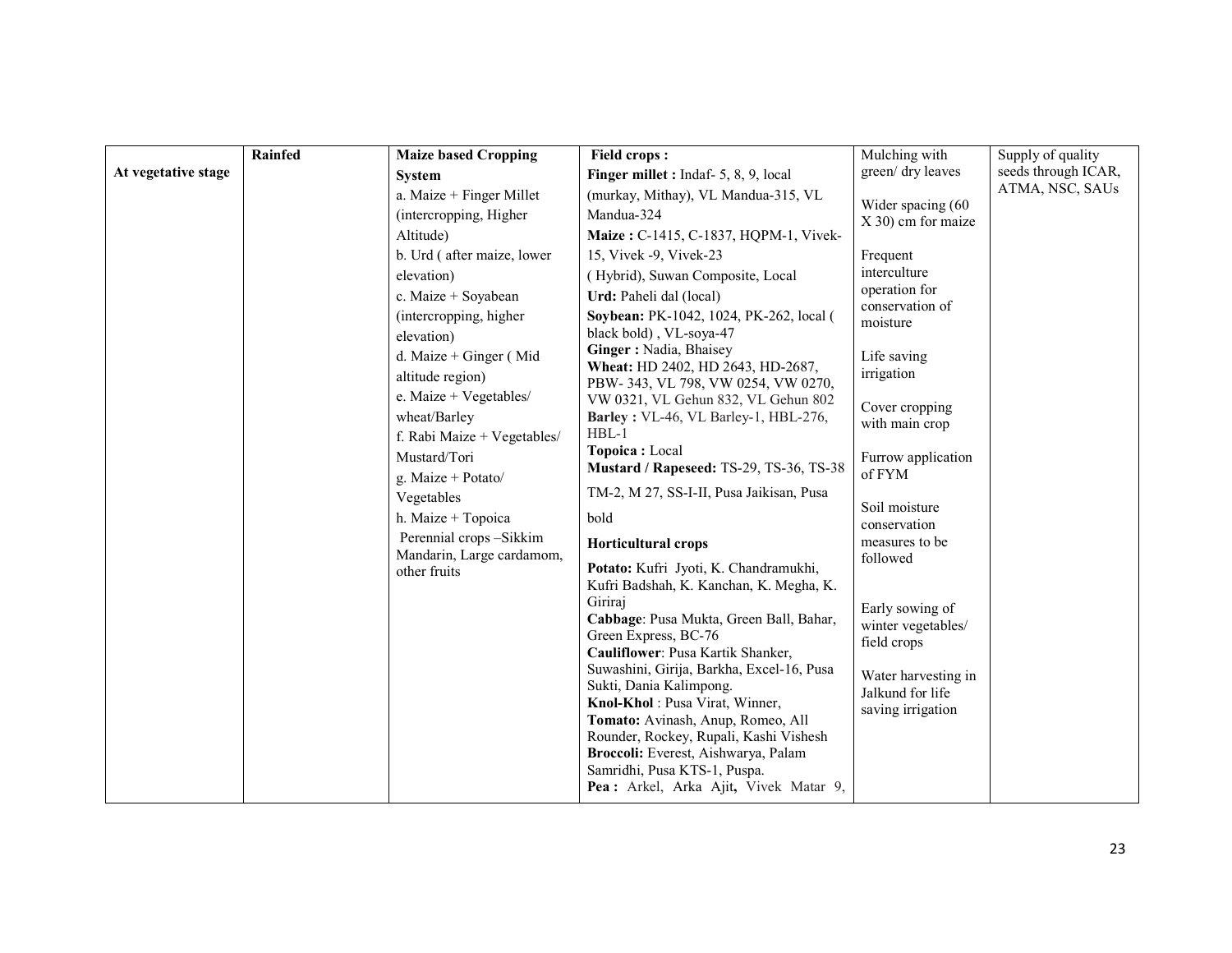| green/ dry leaves<br>seeds through ICAR,<br>At vegetative stage<br>Finger millet : Indaf- 5, 8, 9, local<br><b>System</b><br>ATMA, NSC, SAUs<br>a. Maize $+$ Finger Millet<br>(murkay, Mithay), VL Mandua-315, VL<br>Wider spacing (60<br>Mandua-324<br>(intercropping, Higher)<br>X 30) cm for maize<br>Altitude)<br>Maize: C-1415, C-1837, HQPM-1, Vivek-<br>b. Urd (after maize, lower<br>15, Vivek -9, Vivek-23<br>Frequent<br>interculture<br>(Hybrid), Suwan Composite, Local<br>elevation)<br>operation for<br>c. Maize + Soyabean<br>Urd: Paheli dal (local)<br>conservation of<br>Soybean: PK-1042, 1024, PK-262, local (<br>(intercropping, higher)<br>moisture<br>black bold), VL-soya-47<br>elevation)<br>Ginger: Nadia, Bhaisey<br>d. Maize + Ginger (Mid<br>Life saving<br>Wheat: HD 2402, HD 2643, HD-2687,<br>irrigation<br>altitude region)<br>PBW-343, VL 798, VW 0254, VW 0270,<br>e. Maize + Vegetables/<br>VW 0321, VL Gehun 832, VL Gehun 802<br>Cover cropping | Rainfed | <b>Maize based Cropping</b> | <b>Field crops:</b> | Mulching with | Supply of quality |
|---------------------------------------------------------------------------------------------------------------------------------------------------------------------------------------------------------------------------------------------------------------------------------------------------------------------------------------------------------------------------------------------------------------------------------------------------------------------------------------------------------------------------------------------------------------------------------------------------------------------------------------------------------------------------------------------------------------------------------------------------------------------------------------------------------------------------------------------------------------------------------------------------------------------------------------------------------------------------------------|---------|-----------------------------|---------------------|---------------|-------------------|
|                                                                                                                                                                                                                                                                                                                                                                                                                                                                                                                                                                                                                                                                                                                                                                                                                                                                                                                                                                                       |         |                             |                     |               |                   |
|                                                                                                                                                                                                                                                                                                                                                                                                                                                                                                                                                                                                                                                                                                                                                                                                                                                                                                                                                                                       |         |                             |                     |               |                   |
|                                                                                                                                                                                                                                                                                                                                                                                                                                                                                                                                                                                                                                                                                                                                                                                                                                                                                                                                                                                       |         |                             |                     |               |                   |
|                                                                                                                                                                                                                                                                                                                                                                                                                                                                                                                                                                                                                                                                                                                                                                                                                                                                                                                                                                                       |         |                             |                     |               |                   |
|                                                                                                                                                                                                                                                                                                                                                                                                                                                                                                                                                                                                                                                                                                                                                                                                                                                                                                                                                                                       |         |                             |                     |               |                   |
|                                                                                                                                                                                                                                                                                                                                                                                                                                                                                                                                                                                                                                                                                                                                                                                                                                                                                                                                                                                       |         |                             |                     |               |                   |
|                                                                                                                                                                                                                                                                                                                                                                                                                                                                                                                                                                                                                                                                                                                                                                                                                                                                                                                                                                                       |         |                             |                     |               |                   |
|                                                                                                                                                                                                                                                                                                                                                                                                                                                                                                                                                                                                                                                                                                                                                                                                                                                                                                                                                                                       |         |                             |                     |               |                   |
|                                                                                                                                                                                                                                                                                                                                                                                                                                                                                                                                                                                                                                                                                                                                                                                                                                                                                                                                                                                       |         |                             |                     |               |                   |
|                                                                                                                                                                                                                                                                                                                                                                                                                                                                                                                                                                                                                                                                                                                                                                                                                                                                                                                                                                                       |         |                             |                     |               |                   |
|                                                                                                                                                                                                                                                                                                                                                                                                                                                                                                                                                                                                                                                                                                                                                                                                                                                                                                                                                                                       |         |                             |                     |               |                   |
|                                                                                                                                                                                                                                                                                                                                                                                                                                                                                                                                                                                                                                                                                                                                                                                                                                                                                                                                                                                       |         |                             |                     |               |                   |
| wheat/Barley<br>Barley: VL-46, VL Barley-1, HBL-276,<br>with main crop                                                                                                                                                                                                                                                                                                                                                                                                                                                                                                                                                                                                                                                                                                                                                                                                                                                                                                                |         |                             |                     |               |                   |
| $HBL-1$<br>f. Rabi Maize + Vegetables/                                                                                                                                                                                                                                                                                                                                                                                                                                                                                                                                                                                                                                                                                                                                                                                                                                                                                                                                                |         |                             |                     |               |                   |
| Topoica: Local<br>Mustard/Tori<br>Furrow application<br>Mustard / Rapeseed: TS-29, TS-36, TS-38                                                                                                                                                                                                                                                                                                                                                                                                                                                                                                                                                                                                                                                                                                                                                                                                                                                                                       |         |                             |                     |               |                   |
| of FYM<br>g. Maize + Potato/                                                                                                                                                                                                                                                                                                                                                                                                                                                                                                                                                                                                                                                                                                                                                                                                                                                                                                                                                          |         |                             |                     |               |                   |
| TM-2, M 27, SS-I-II, Pusa Jaikisan, Pusa<br>Vegetables<br>Soil moisture                                                                                                                                                                                                                                                                                                                                                                                                                                                                                                                                                                                                                                                                                                                                                                                                                                                                                                               |         |                             |                     |               |                   |
| h. Maize + Topoica<br>bold<br>conservation                                                                                                                                                                                                                                                                                                                                                                                                                                                                                                                                                                                                                                                                                                                                                                                                                                                                                                                                            |         |                             |                     |               |                   |
| Perennial crops-Sikkim<br>measures to be<br><b>Horticultural crops</b>                                                                                                                                                                                                                                                                                                                                                                                                                                                                                                                                                                                                                                                                                                                                                                                                                                                                                                                |         |                             |                     |               |                   |
| Mandarin, Large cardamom,<br>followed<br>Potato: Kufri Jyoti, K. Chandramukhi,<br>other fruits                                                                                                                                                                                                                                                                                                                                                                                                                                                                                                                                                                                                                                                                                                                                                                                                                                                                                        |         |                             |                     |               |                   |
| Kufri Badshah, K. Kanchan, K. Megha, K.                                                                                                                                                                                                                                                                                                                                                                                                                                                                                                                                                                                                                                                                                                                                                                                                                                                                                                                                               |         |                             |                     |               |                   |
| Giriraj<br>Early sowing of                                                                                                                                                                                                                                                                                                                                                                                                                                                                                                                                                                                                                                                                                                                                                                                                                                                                                                                                                            |         |                             |                     |               |                   |
| Cabbage: Pusa Mukta, Green Ball, Bahar,<br>winter vegetables/                                                                                                                                                                                                                                                                                                                                                                                                                                                                                                                                                                                                                                                                                                                                                                                                                                                                                                                         |         |                             |                     |               |                   |
| Green Express, BC-76<br>field crops<br>Cauliflower: Pusa Kartik Shanker,                                                                                                                                                                                                                                                                                                                                                                                                                                                                                                                                                                                                                                                                                                                                                                                                                                                                                                              |         |                             |                     |               |                   |
| Suwashini, Girija, Barkha, Excel-16, Pusa                                                                                                                                                                                                                                                                                                                                                                                                                                                                                                                                                                                                                                                                                                                                                                                                                                                                                                                                             |         |                             |                     |               |                   |
| Water harvesting in<br>Sukti, Dania Kalimpong.<br>Jalkund for life                                                                                                                                                                                                                                                                                                                                                                                                                                                                                                                                                                                                                                                                                                                                                                                                                                                                                                                    |         |                             |                     |               |                   |
| Knol-Khol: Pusa Virat, Winner,<br>saving irrigation                                                                                                                                                                                                                                                                                                                                                                                                                                                                                                                                                                                                                                                                                                                                                                                                                                                                                                                                   |         |                             |                     |               |                   |
| Tomato: Avinash, Anup, Romeo, All                                                                                                                                                                                                                                                                                                                                                                                                                                                                                                                                                                                                                                                                                                                                                                                                                                                                                                                                                     |         |                             |                     |               |                   |
| Rounder, Rockey, Rupali, Kashi Vishesh                                                                                                                                                                                                                                                                                                                                                                                                                                                                                                                                                                                                                                                                                                                                                                                                                                                                                                                                                |         |                             |                     |               |                   |
| Broccoli: Everest, Aishwarya, Palam<br>Samridhi, Pusa KTS-1, Puspa.                                                                                                                                                                                                                                                                                                                                                                                                                                                                                                                                                                                                                                                                                                                                                                                                                                                                                                                   |         |                             |                     |               |                   |
| Pea : Arkel, Arka Ajit, Vivek Matar 9,                                                                                                                                                                                                                                                                                                                                                                                                                                                                                                                                                                                                                                                                                                                                                                                                                                                                                                                                                |         |                             |                     |               |                   |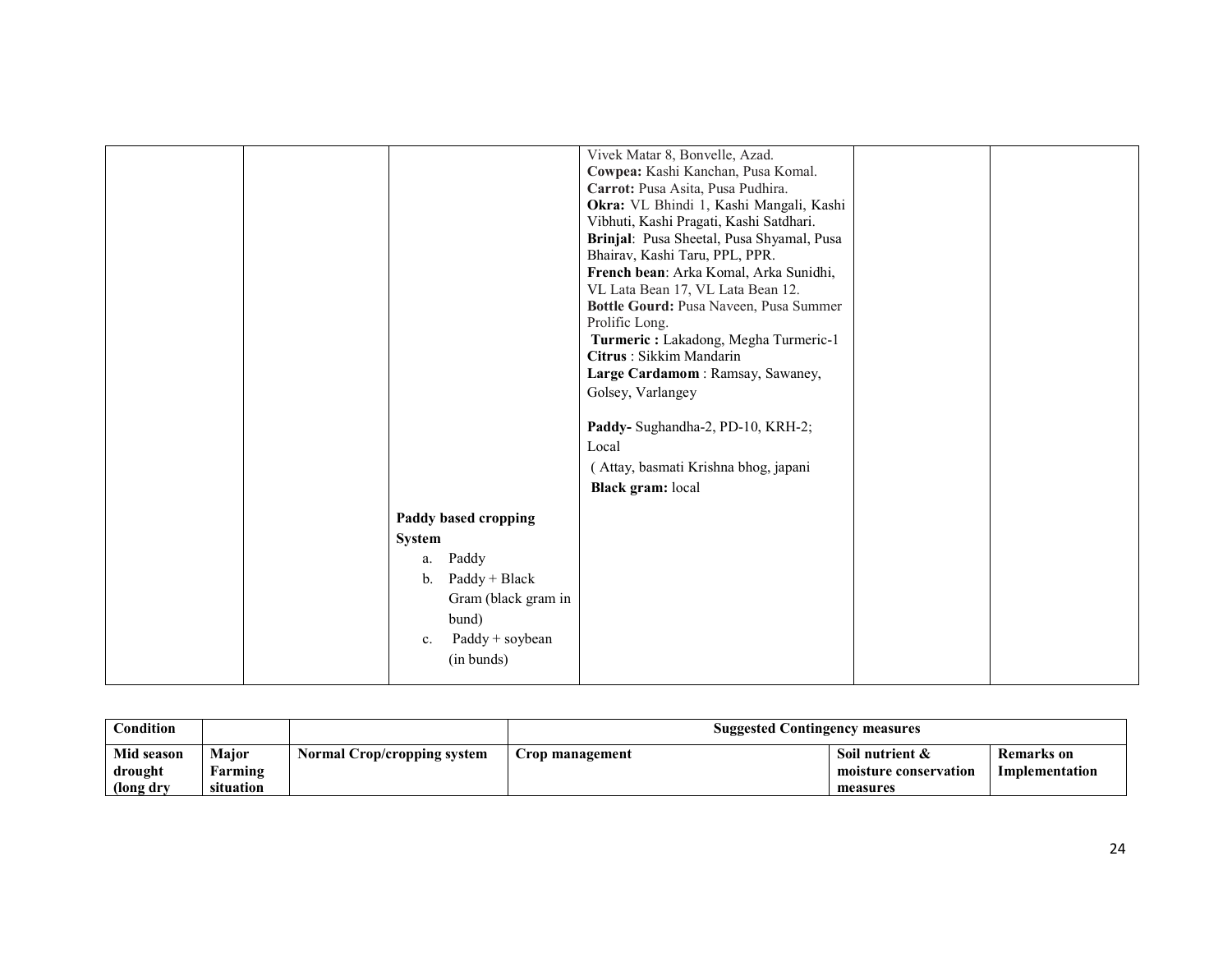|  |                                | Vivek Matar 8, Bonvelle, Azad.            |  |
|--|--------------------------------|-------------------------------------------|--|
|  |                                | Cowpea: Kashi Kanchan, Pusa Komal.        |  |
|  |                                | Carrot: Pusa Asita, Pusa Pudhira.         |  |
|  |                                | Okra: VL Bhindi 1, Kashi Mangali, Kashi   |  |
|  |                                | Vibhuti, Kashi Pragati, Kashi Satdhari.   |  |
|  |                                | Brinjal: Pusa Sheetal, Pusa Shyamal, Pusa |  |
|  |                                | Bhairav, Kashi Taru, PPL, PPR.            |  |
|  |                                | French bean: Arka Komal, Arka Sunidhi,    |  |
|  |                                | VL Lata Bean 17, VL Lata Bean 12.         |  |
|  |                                | Bottle Gourd: Pusa Naveen, Pusa Summer    |  |
|  |                                | Prolific Long.                            |  |
|  |                                | Turmeric: Lakadong, Megha Turmeric-1      |  |
|  |                                | Citrus: Sikkim Mandarin                   |  |
|  |                                | Large Cardamom: Ramsay, Sawaney,          |  |
|  |                                | Golsey, Varlangey                         |  |
|  |                                |                                           |  |
|  |                                | Paddy- Sughandha-2, PD-10, KRH-2;         |  |
|  |                                | Local                                     |  |
|  |                                | (Attay, basmati Krishna bhog, japani      |  |
|  |                                | <b>Black gram:</b> local                  |  |
|  |                                |                                           |  |
|  | Paddy based cropping           |                                           |  |
|  | <b>System</b>                  |                                           |  |
|  | Paddy<br>a.                    |                                           |  |
|  | Paddy + Black<br>$b_{\cdot}$   |                                           |  |
|  | Gram (black gram in            |                                           |  |
|  | bund)                          |                                           |  |
|  |                                |                                           |  |
|  | Paddy + soybean<br>$c_{\cdot}$ |                                           |  |
|  | (in bunds)                     |                                           |  |
|  |                                |                                           |  |

| Condition                           |                               |                             | <b>Suggested Contingency measures</b> |                                                      |                              |
|-------------------------------------|-------------------------------|-----------------------------|---------------------------------------|------------------------------------------------------|------------------------------|
| Mid season<br>drought<br>(long dry) | Maior<br>Farming<br>situation | Normal Crop/cropping system | C <b>rop management</b>               | Soil nutrient &<br>moisture conservation<br>measures | Remarks on<br>Implementation |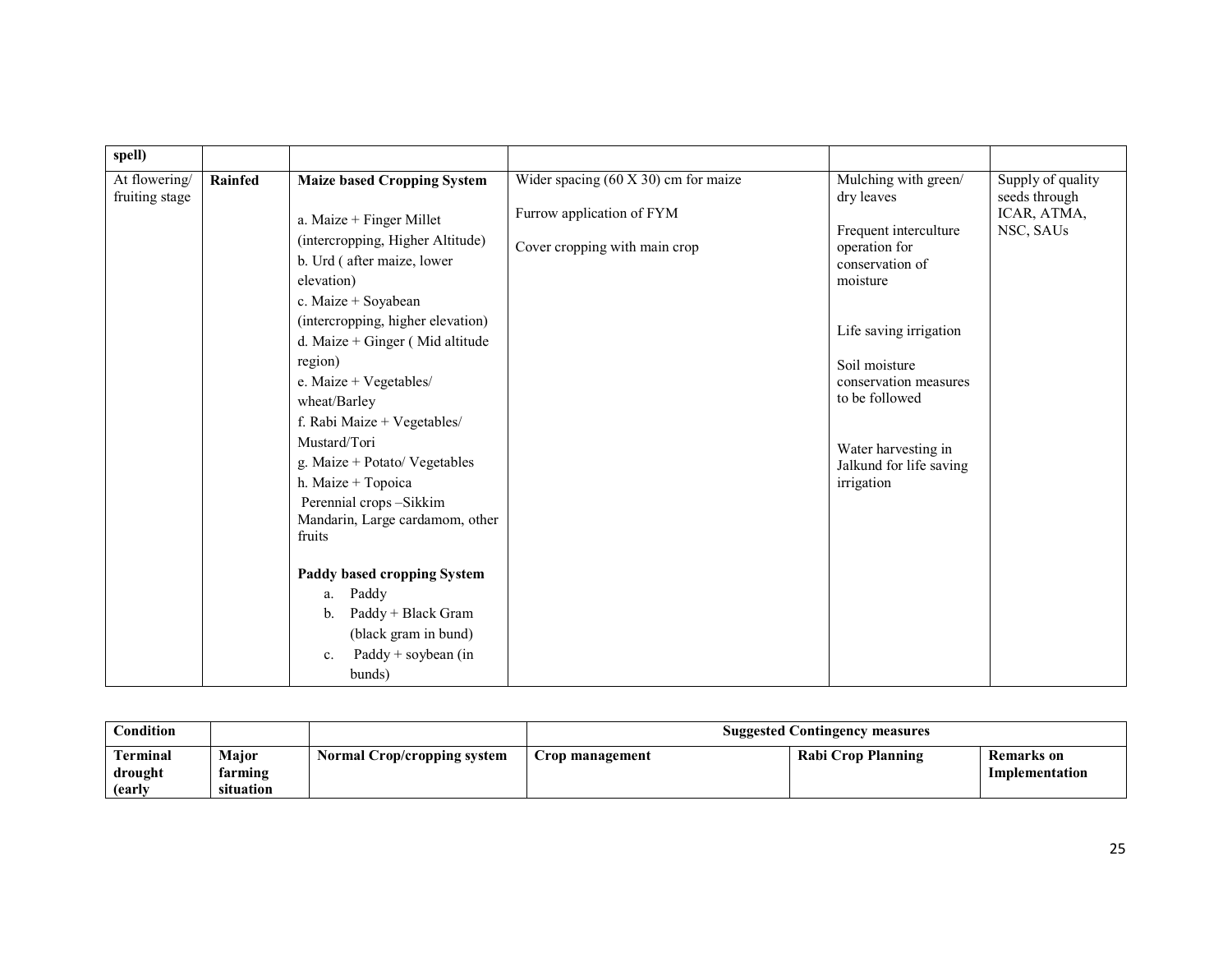| spell)                          |         |                                                                                                                                                                                                                                                                                                                                                                                                                                                                                   |                                                                                                      |                                                                                                                                                                                                                                                                   |                                                                |
|---------------------------------|---------|-----------------------------------------------------------------------------------------------------------------------------------------------------------------------------------------------------------------------------------------------------------------------------------------------------------------------------------------------------------------------------------------------------------------------------------------------------------------------------------|------------------------------------------------------------------------------------------------------|-------------------------------------------------------------------------------------------------------------------------------------------------------------------------------------------------------------------------------------------------------------------|----------------------------------------------------------------|
| At flowering/<br>fruiting stage | Rainfed | <b>Maize based Cropping System</b><br>a. Maize $+$ Finger Millet<br>(intercropping, Higher Altitude)<br>b. Urd (after maize, lower<br>elevation)<br>c. Maize + Soyabean<br>(intercropping, higher elevation)<br>d. Maize + Ginger (Mid altitude<br>region)<br>e. Maize + Vegetables/<br>wheat/Barley<br>f. Rabi Maize + Vegetables/<br>Mustard/Tori<br>g. Maize + Potato/ Vegetables<br>h. Maize + Topoica<br>Perennial crops-Sikkim<br>Mandarin, Large cardamom, other<br>fruits | Wider spacing $(60 X 30)$ cm for maize<br>Furrow application of FYM<br>Cover cropping with main crop | Mulching with green/<br>dry leaves<br>Frequent interculture<br>operation for<br>conservation of<br>moisture<br>Life saving irrigation<br>Soil moisture<br>conservation measures<br>to be followed<br>Water harvesting in<br>Jalkund for life saving<br>irrigation | Supply of quality<br>seeds through<br>ICAR, ATMA,<br>NSC, SAUs |
|                                 |         | Paddy based cropping System<br>Paddy<br>a.<br>Paddy + Black Gram<br>b.<br>(black gram in bund)<br>Paddy + soybean (in<br>$\mathbf{c}$ .<br>bunds)                                                                                                                                                                                                                                                                                                                                 |                                                                                                      |                                                                                                                                                                                                                                                                   |                                                                |

| $\mathbf{Condition}$<br><b>Suggested Contingency measures</b> |                                      |                             |                 |                    |                              |
|---------------------------------------------------------------|--------------------------------------|-----------------------------|-----------------|--------------------|------------------------------|
| <b>Terminal</b><br>drought<br>(early                          | <b>Major</b><br>farming<br>situation | Normal Crop/cropping system | Crop management | Rabi Crop Planning | Remarks on<br>Implementation |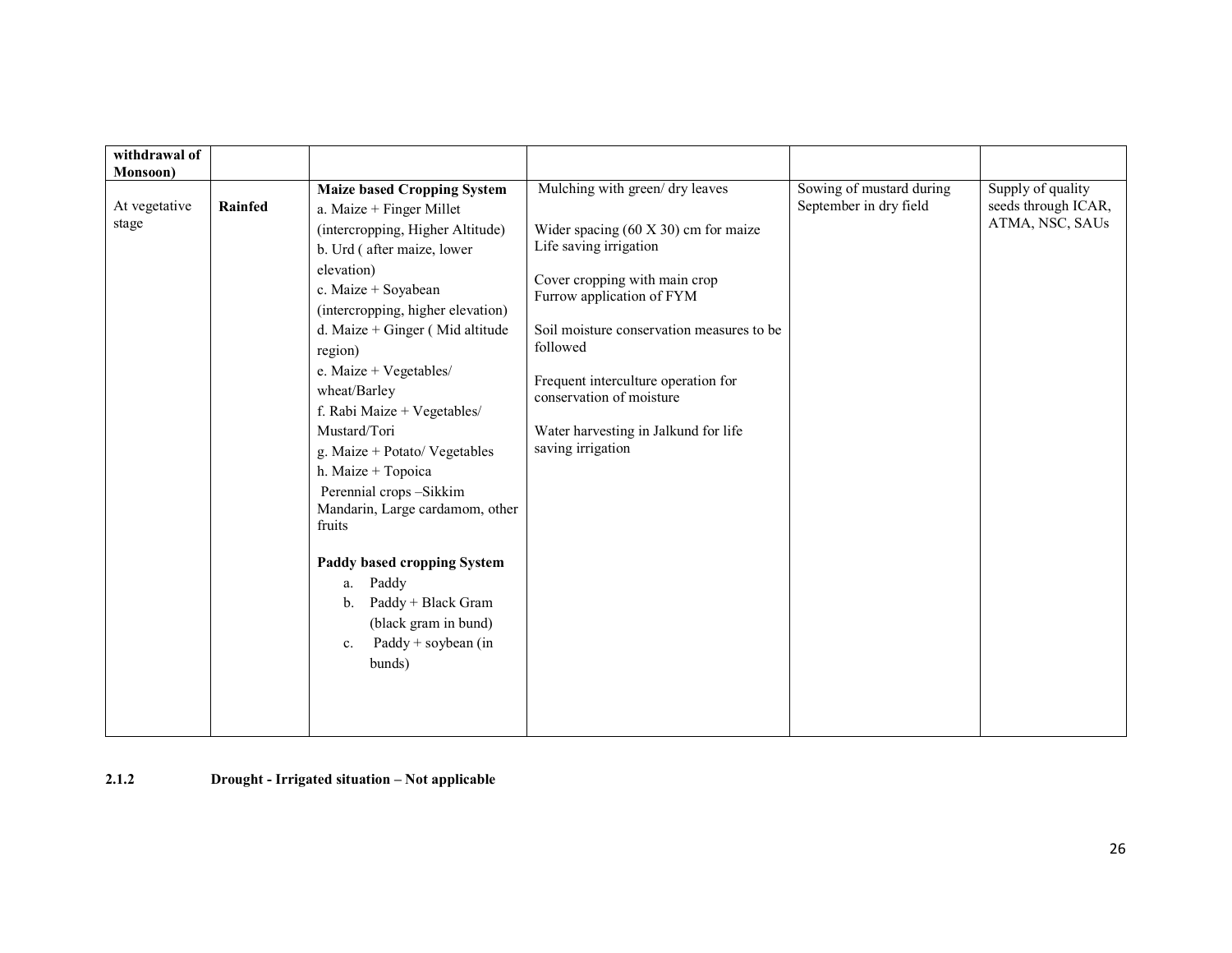| withdrawal of<br>Monsoon) |         |                                                                                                                                         |                                                                       |                                                    |                                          |
|---------------------------|---------|-----------------------------------------------------------------------------------------------------------------------------------------|-----------------------------------------------------------------------|----------------------------------------------------|------------------------------------------|
| At vegetative             | Rainfed | <b>Maize based Cropping System</b><br>a. Maize $+$ Finger Millet                                                                        | Mulching with green/ dry leaves                                       | Sowing of mustard during<br>September in dry field | Supply of quality<br>seeds through ICAR, |
| stage                     |         | (intercropping, Higher Altitude)<br>b. Urd (after maize, lower                                                                          | Wider spacing $(60 \times 30)$ cm for maize<br>Life saving irrigation |                                                    | ATMA, NSC, SAUs                          |
|                           |         | elevation)<br>c. Maize + Soyabean<br>(intercropping, higher elevation)                                                                  | Cover cropping with main crop<br>Furrow application of FYM            |                                                    |                                          |
|                           |         | d. Maize + Ginger (Mid altitude<br>region)                                                                                              | Soil moisture conservation measures to be<br>followed                 |                                                    |                                          |
|                           |         | e. Maize + Vegetables/<br>wheat/Barley<br>f. Rabi Maize + Vegetables/                                                                   | Frequent interculture operation for<br>conservation of moisture       |                                                    |                                          |
|                           |         | Mustard/Tori<br>g. Maize + Potato/ Vegetables<br>h. Maize + Topoica                                                                     | Water harvesting in Jalkund for life<br>saving irrigation             |                                                    |                                          |
|                           |         | Perennial crops-Sikkim<br>Mandarin, Large cardamom, other<br>fruits                                                                     |                                                                       |                                                    |                                          |
|                           |         | Paddy based cropping System<br>Paddy<br>a.<br>Paddy + Black Gram<br>$\mathbf{b}$ .<br>(black gram in bund)<br>Paddy + soybean (in<br>c. |                                                                       |                                                    |                                          |
|                           |         | bunds)                                                                                                                                  |                                                                       |                                                    |                                          |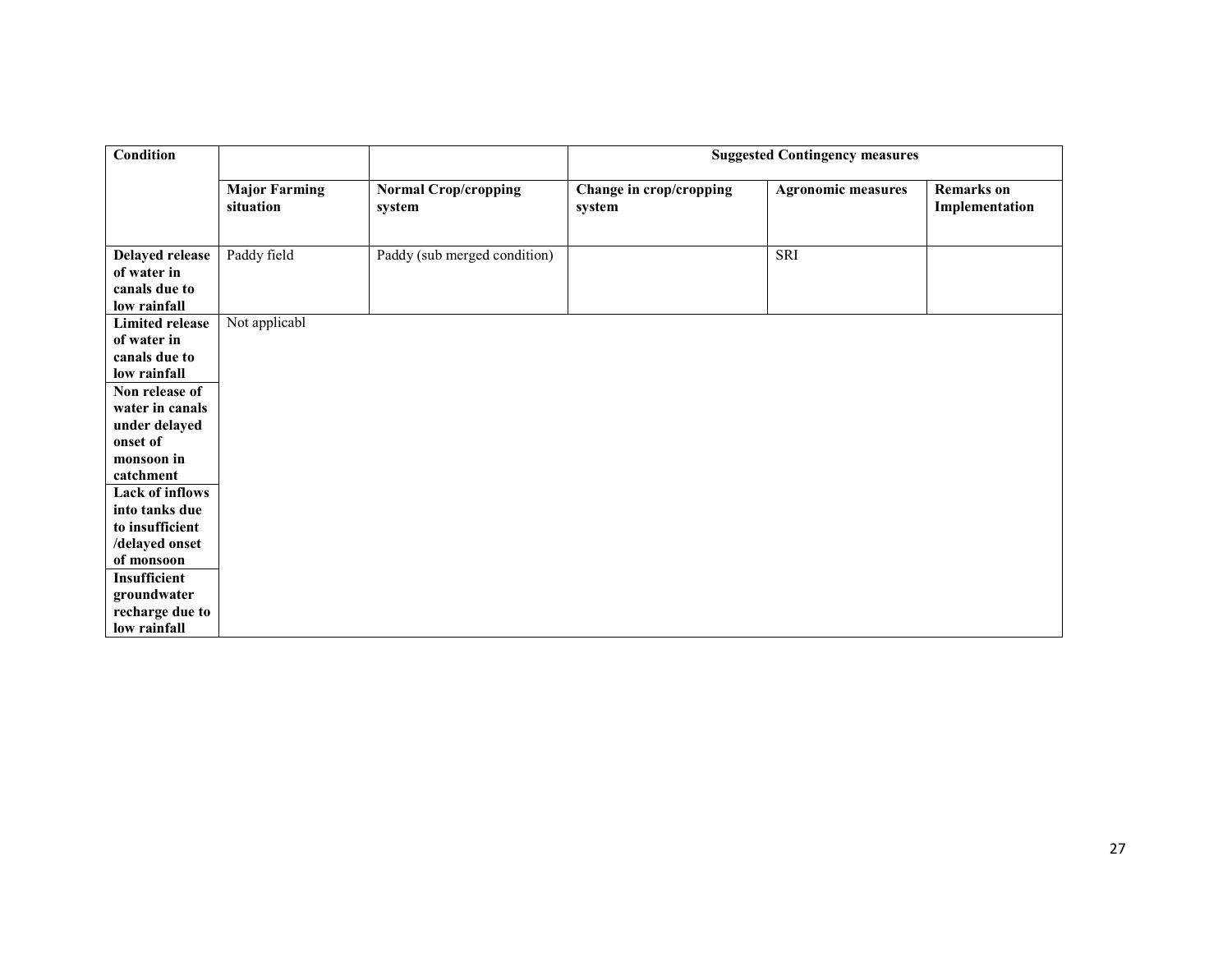| <b>Condition</b>                                                                                                                                                                                                |                                   |                                       | <b>Suggested Contingency measures</b> |                           |                                     |
|-----------------------------------------------------------------------------------------------------------------------------------------------------------------------------------------------------------------|-----------------------------------|---------------------------------------|---------------------------------------|---------------------------|-------------------------------------|
|                                                                                                                                                                                                                 | <b>Major Farming</b><br>situation | <b>Normal Crop/cropping</b><br>system | Change in crop/cropping<br>system     | <b>Agronomic measures</b> | <b>Remarks</b> on<br>Implementation |
| <b>Delayed release</b><br>of water in<br>canals due to<br>low rainfall                                                                                                                                          | Paddy field                       | Paddy (sub merged condition)          |                                       | SRI                       |                                     |
| <b>Limited release</b><br>of water in<br>canals due to<br>low rainfall<br>Non release of<br>water in canals<br>under delayed<br>onset of<br>monsoon in<br>catchment<br><b>Lack of inflows</b><br>into tanks due | Not applicabl                     |                                       |                                       |                           |                                     |
| to insufficient<br>/delayed onset<br>of monsoon<br><b>Insufficient</b><br>groundwater<br>recharge due to<br>low rainfall                                                                                        |                                   |                                       |                                       |                           |                                     |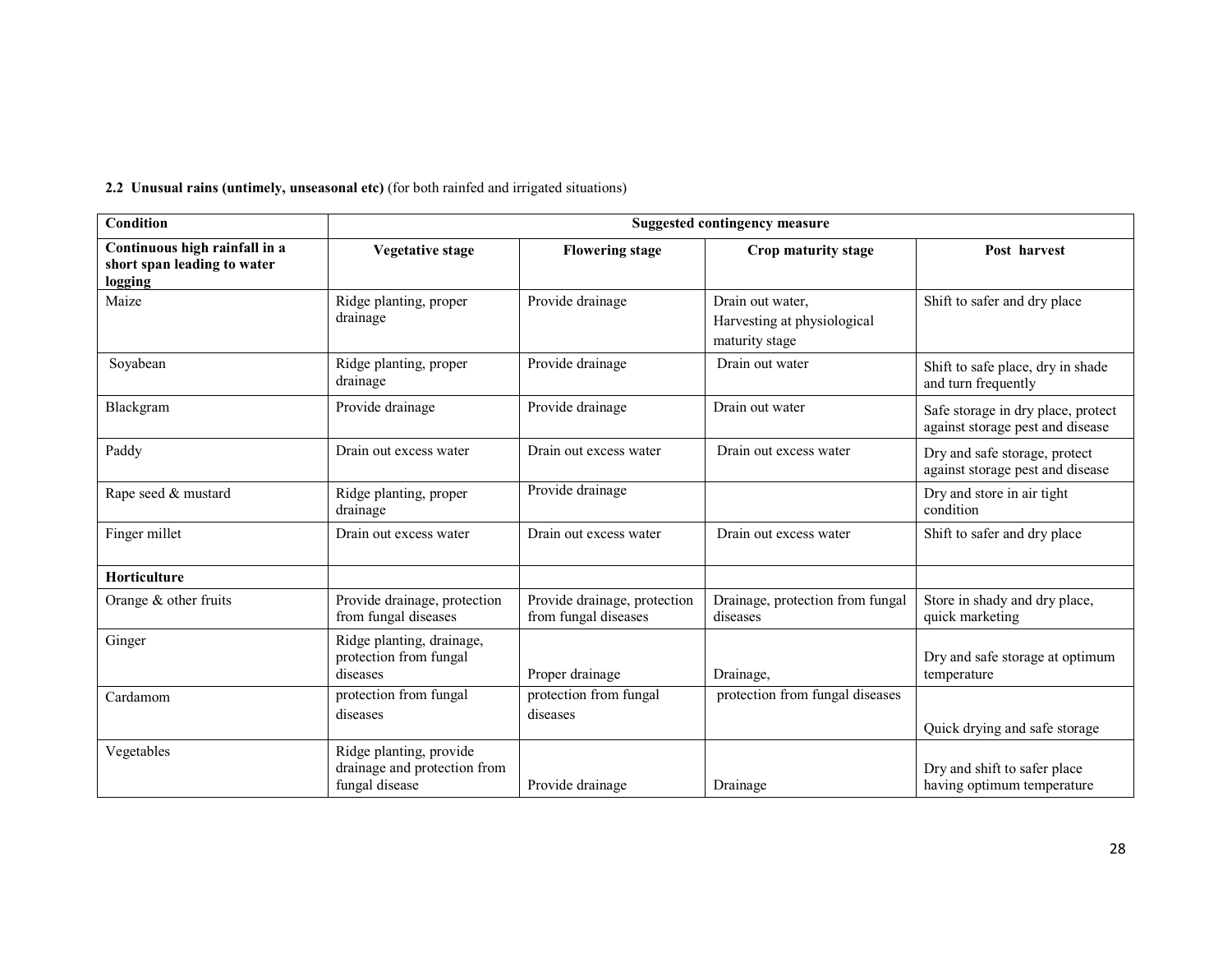2.2 Unusual rains (untimely, unseasonal etc) (for both rainfed and irrigated situations)

| Condition                                                               | <b>Suggested contingency measure</b>                                      |                                                      |                                                                   |                                                                        |  |  |
|-------------------------------------------------------------------------|---------------------------------------------------------------------------|------------------------------------------------------|-------------------------------------------------------------------|------------------------------------------------------------------------|--|--|
| Continuous high rainfall in a<br>short span leading to water<br>logging | <b>Vegetative stage</b>                                                   | <b>Flowering stage</b>                               | Crop maturity stage                                               | Post harvest                                                           |  |  |
| Maize                                                                   | Ridge planting, proper<br>drainage                                        | Provide drainage                                     | Drain out water,<br>Harvesting at physiological<br>maturity stage | Shift to safer and dry place                                           |  |  |
| Soyabean                                                                | Ridge planting, proper<br>drainage                                        | Provide drainage                                     | Drain out water                                                   | Shift to safe place, dry in shade<br>and turn frequently               |  |  |
| Blackgram                                                               | Provide drainage                                                          | Provide drainage                                     | Drain out water                                                   | Safe storage in dry place, protect<br>against storage pest and disease |  |  |
| Paddy                                                                   | Drain out excess water                                                    | Drain out excess water                               | Drain out excess water                                            | Dry and safe storage, protect<br>against storage pest and disease      |  |  |
| Rape seed & mustard                                                     | Ridge planting, proper<br>drainage                                        | Provide drainage                                     |                                                                   | Dry and store in air tight<br>condition                                |  |  |
| Finger millet                                                           | Drain out excess water                                                    | Drain out excess water                               | Drain out excess water                                            | Shift to safer and dry place                                           |  |  |
| Horticulture                                                            |                                                                           |                                                      |                                                                   |                                                                        |  |  |
| Orange $&$ other fruits                                                 | Provide drainage, protection<br>from fungal diseases                      | Provide drainage, protection<br>from fungal diseases | Drainage, protection from fungal<br>diseases                      | Store in shady and dry place,<br>quick marketing                       |  |  |
| Ginger                                                                  | Ridge planting, drainage,<br>protection from fungal<br>diseases           | Proper drainage                                      | Drainage,                                                         | Dry and safe storage at optimum<br>temperature                         |  |  |
| Cardamom                                                                | protection from fungal<br>diseases                                        | protection from fungal<br>diseases                   | protection from fungal diseases                                   | Quick drying and safe storage                                          |  |  |
| Vegetables                                                              | Ridge planting, provide<br>drainage and protection from<br>fungal disease | Provide drainage                                     | Drainage                                                          | Dry and shift to safer place<br>having optimum temperature             |  |  |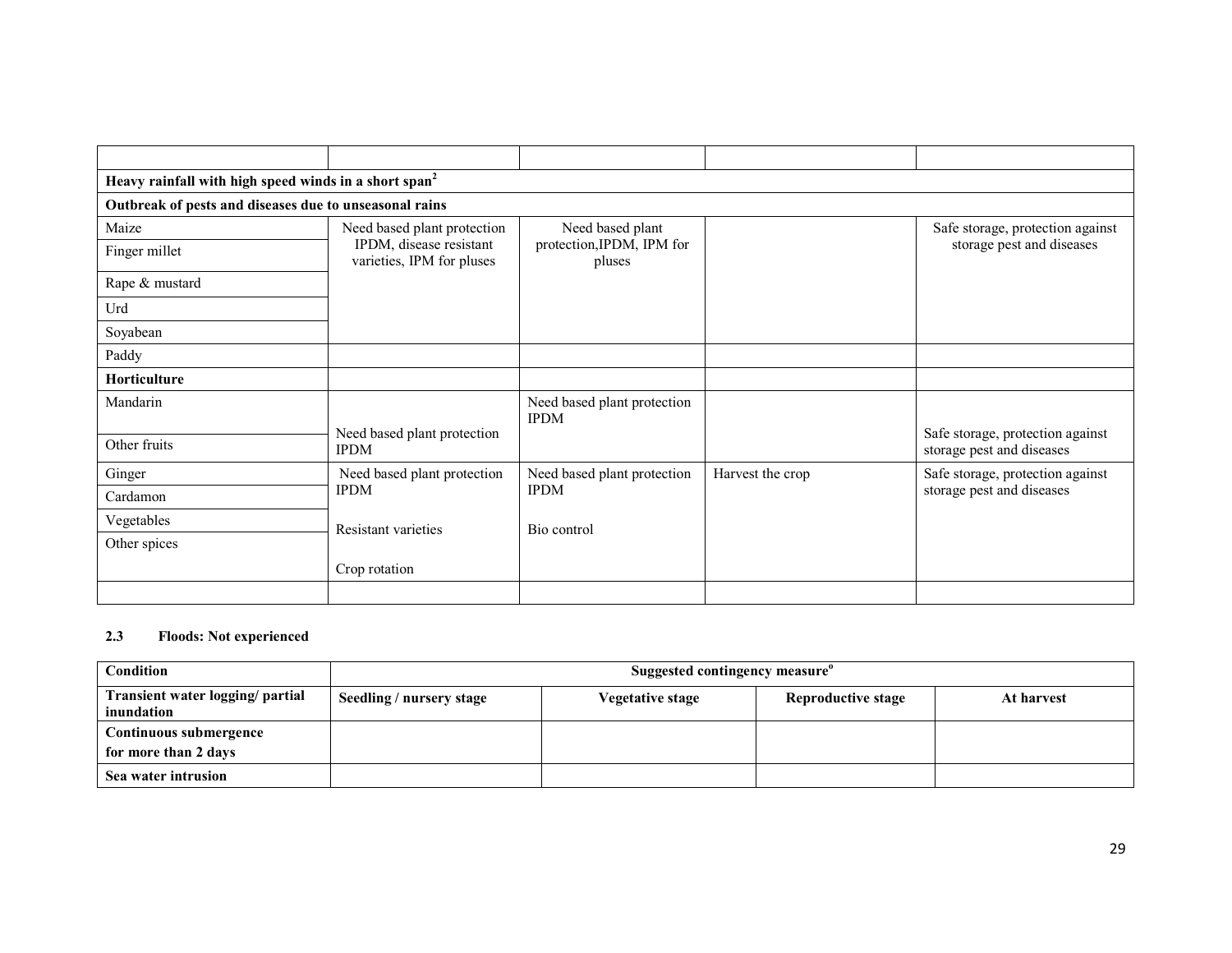| Heavy rainfall with high speed winds in a short span <sup>2</sup> |                                                      |                                            |                  |                                                               |
|-------------------------------------------------------------------|------------------------------------------------------|--------------------------------------------|------------------|---------------------------------------------------------------|
| Outbreak of pests and diseases due to unseasonal rains            |                                                      |                                            |                  |                                                               |
| Maize                                                             | Need based plant protection                          | Need based plant                           |                  | Safe storage, protection against                              |
| Finger millet                                                     | IPDM, disease resistant<br>varieties, IPM for pluses | protection, IPDM, IPM for<br>pluses        |                  | storage pest and diseases                                     |
| Rape & mustard                                                    |                                                      |                                            |                  |                                                               |
| Urd                                                               |                                                      |                                            |                  |                                                               |
| Soyabean                                                          |                                                      |                                            |                  |                                                               |
| Paddy                                                             |                                                      |                                            |                  |                                                               |
| <b>Horticulture</b>                                               |                                                      |                                            |                  |                                                               |
| Mandarin                                                          |                                                      | Need based plant protection<br><b>IPDM</b> |                  |                                                               |
| Other fruits                                                      | Need based plant protection<br><b>IPDM</b>           |                                            |                  | Safe storage, protection against<br>storage pest and diseases |
| Ginger                                                            | Need based plant protection                          | Need based plant protection                | Harvest the crop | Safe storage, protection against                              |
| Cardamon                                                          | <b>IPDM</b>                                          | <b>IPDM</b>                                |                  | storage pest and diseases                                     |
| Vegetables                                                        | Resistant varieties                                  | Bio control                                |                  |                                                               |
| Other spices                                                      |                                                      |                                            |                  |                                                               |
|                                                                   | Crop rotation                                        |                                            |                  |                                                               |
|                                                                   |                                                      |                                            |                  |                                                               |

### 2.3 Floods: Not experienced

| Condition                                      | Suggested contingency measure <sup>o</sup> |                  |                    |            |  |
|------------------------------------------------|--------------------------------------------|------------------|--------------------|------------|--|
| Transient water logging/ partial<br>inundation | Seedling / nursery stage                   | Vegetative stage | Reproductive stage | At harvest |  |
| Continuous submergence                         |                                            |                  |                    |            |  |
| for more than 2 days                           |                                            |                  |                    |            |  |
| Sea water intrusion                            |                                            |                  |                    |            |  |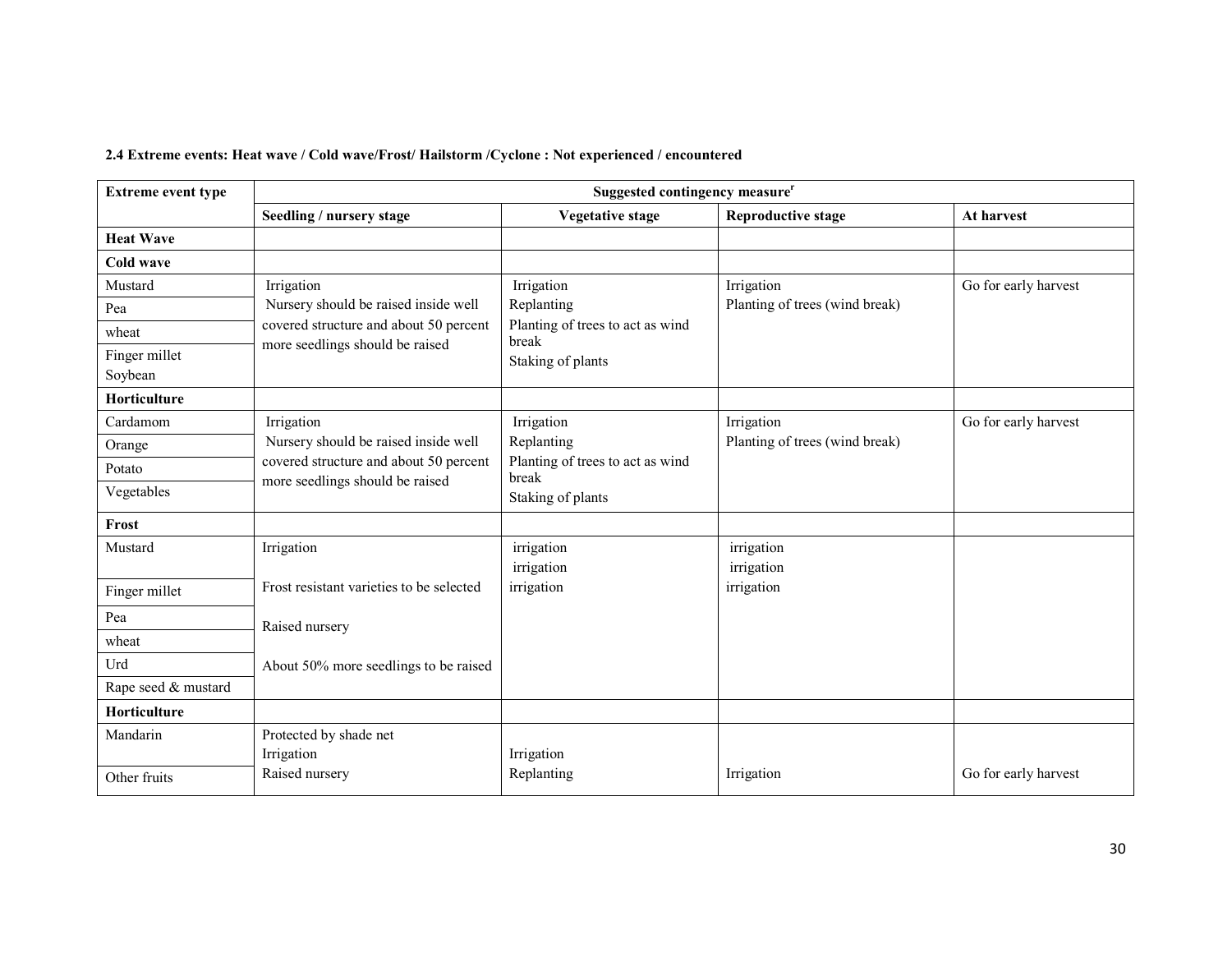### 2.4 Extreme events: Heat wave / Cold wave/Frost/ Hailstorm /Cyclone : Not experienced / encountered

| <b>Extreme event type</b> | Suggested contingency measure <sup>r</sup>                                |                                           |                                |                      |  |
|---------------------------|---------------------------------------------------------------------------|-------------------------------------------|--------------------------------|----------------------|--|
|                           | Seedling / nursery stage                                                  | <b>Vegetative stage</b>                   | <b>Reproductive stage</b>      | At harvest           |  |
| <b>Heat Wave</b>          |                                                                           |                                           |                                |                      |  |
| Cold wave                 |                                                                           |                                           |                                |                      |  |
| Mustard                   | Irrigation                                                                | Irrigation                                | Irrigation                     | Go for early harvest |  |
| Pea                       | Nursery should be raised inside well                                      | Replanting                                | Planting of trees (wind break) |                      |  |
| wheat                     | covered structure and about 50 percent<br>more seedlings should be raised | Planting of trees to act as wind<br>break |                                |                      |  |
| Finger millet             |                                                                           | Staking of plants                         |                                |                      |  |
| Soybean                   |                                                                           |                                           |                                |                      |  |
| <b>Horticulture</b>       |                                                                           |                                           |                                |                      |  |
| Cardamom                  | Irrigation                                                                | Irrigation                                | Irrigation                     | Go for early harvest |  |
| Orange                    | Nursery should be raised inside well                                      | Replanting                                | Planting of trees (wind break) |                      |  |
| Potato                    | covered structure and about 50 percent<br>more seedlings should be raised | Planting of trees to act as wind<br>break |                                |                      |  |
| Vegetables                |                                                                           | Staking of plants                         |                                |                      |  |
| Frost                     |                                                                           |                                           |                                |                      |  |
| Mustard                   | Irrigation                                                                | irrigation<br>irrigation                  | irrigation<br>irrigation       |                      |  |
| Finger millet             | Frost resistant varieties to be selected                                  | irrigation                                | irrigation                     |                      |  |
| Pea                       | Raised nursery                                                            |                                           |                                |                      |  |
| wheat                     |                                                                           |                                           |                                |                      |  |
| Urd                       | About 50% more seedlings to be raised                                     |                                           |                                |                      |  |
| Rape seed & mustard       |                                                                           |                                           |                                |                      |  |
| Horticulture              |                                                                           |                                           |                                |                      |  |
| Mandarin                  | Protected by shade net                                                    |                                           |                                |                      |  |
|                           | Irrigation                                                                | Irrigation                                |                                |                      |  |
| Other fruits              | Raised nursery                                                            | Replanting                                | Irrigation                     | Go for early harvest |  |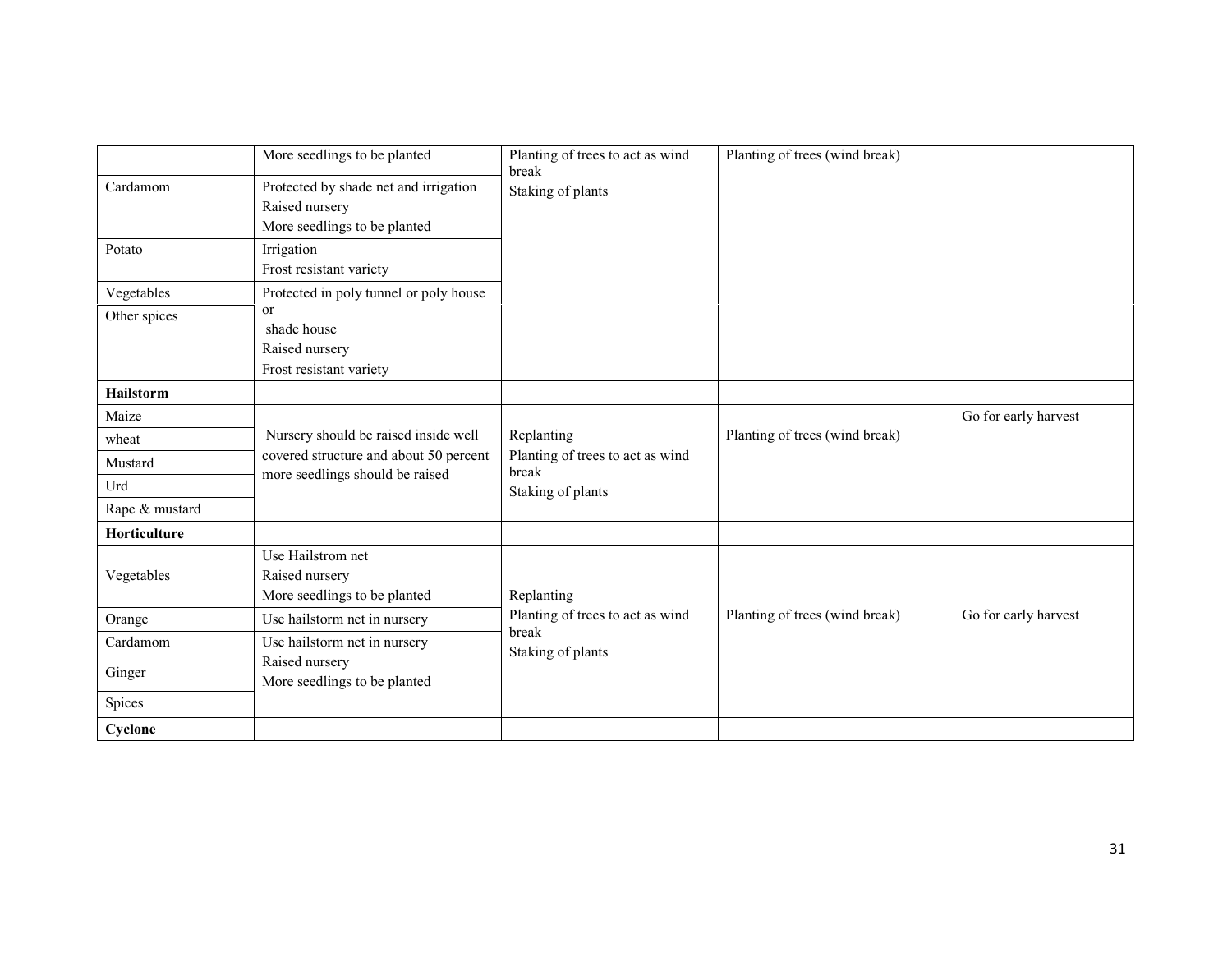|                  | More seedlings to be planted                                                            | Planting of trees to act as wind<br>break                      | Planting of trees (wind break) |                      |
|------------------|-----------------------------------------------------------------------------------------|----------------------------------------------------------------|--------------------------------|----------------------|
| Cardamom         | Protected by shade net and irrigation<br>Raised nursery<br>More seedlings to be planted | Staking of plants                                              |                                |                      |
| Potato           | Irrigation<br>Frost resistant variety                                                   |                                                                |                                |                      |
| Vegetables       | Protected in poly tunnel or poly house                                                  |                                                                |                                |                      |
| Other spices     | or<br>shade house<br>Raised nursery<br>Frost resistant variety                          |                                                                |                                |                      |
| <b>Hailstorm</b> |                                                                                         |                                                                |                                |                      |
| Maize            |                                                                                         |                                                                |                                | Go for early harvest |
| wheat            | Nursery should be raised inside well                                                    | Replanting                                                     | Planting of trees (wind break) |                      |
| Mustard          | covered structure and about 50 percent                                                  | Planting of trees to act as wind<br>break<br>Staking of plants |                                |                      |
| Urd              | more seedlings should be raised                                                         |                                                                |                                |                      |
| Rape & mustard   |                                                                                         |                                                                |                                |                      |
| Horticulture     |                                                                                         |                                                                |                                |                      |
| Vegetables       | Use Hailstrom net<br>Raised nursery<br>More seedlings to be planted                     | Replanting                                                     |                                |                      |
| Orange           | Use hailstorm net in nursery                                                            | Planting of trees to act as wind                               | Planting of trees (wind break) | Go for early harvest |
| Cardamom         | Use hailstorm net in nursery                                                            | break<br>Staking of plants                                     |                                |                      |
| Ginger           | Raised nursery<br>More seedlings to be planted                                          |                                                                |                                |                      |
| Spices           |                                                                                         |                                                                |                                |                      |
| Cyclone          |                                                                                         |                                                                |                                |                      |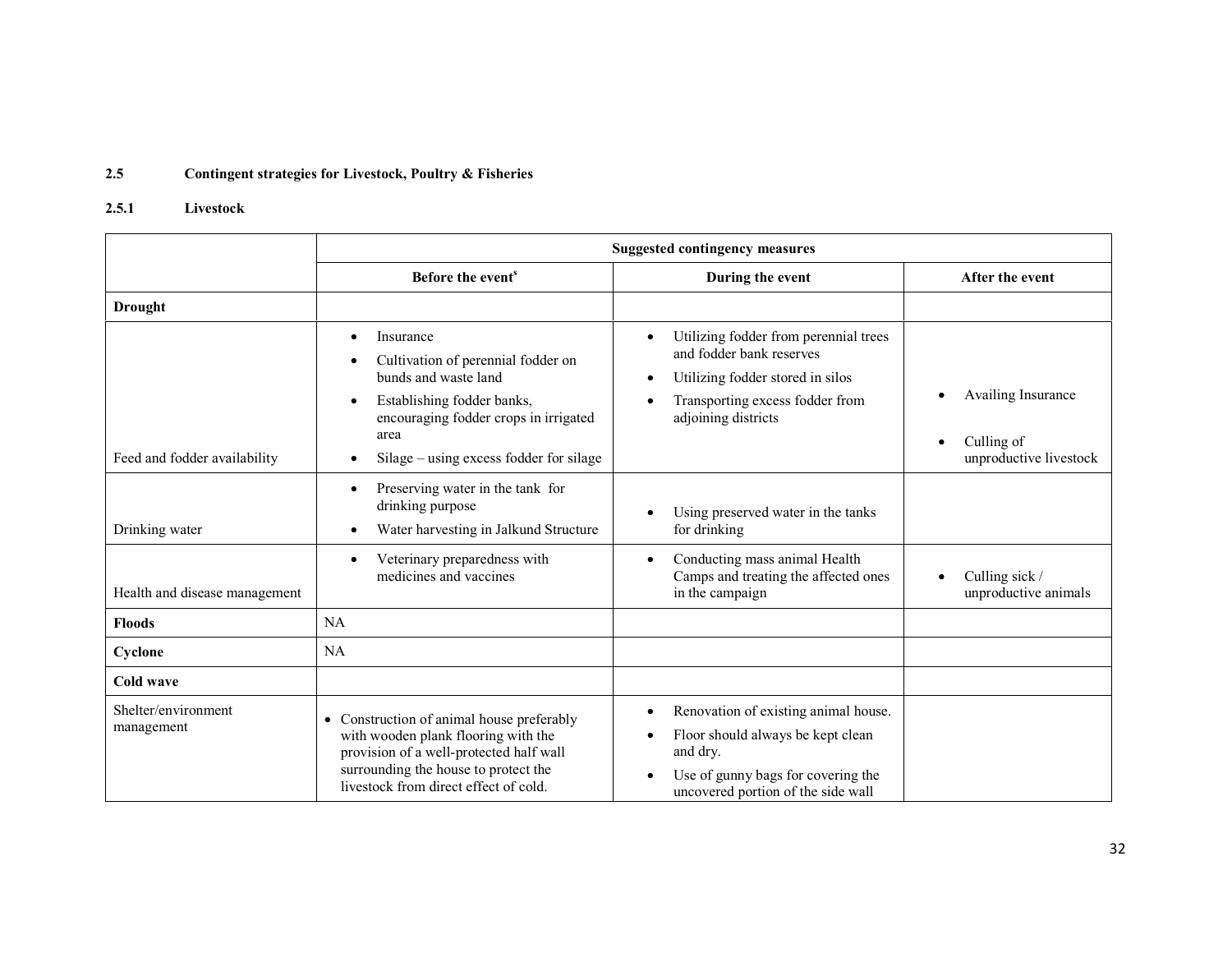#### 2.5Contingent strategies for Livestock, Poultry & Fisheries

#### 2.5.1 Livestock

|                                   | <b>Suggested contingency measures</b>                                                                                                                                                                        |                                                                                                                                                                                                        |                                        |  |  |
|-----------------------------------|--------------------------------------------------------------------------------------------------------------------------------------------------------------------------------------------------------------|--------------------------------------------------------------------------------------------------------------------------------------------------------------------------------------------------------|----------------------------------------|--|--|
|                                   | Before the event <sup>s</sup>                                                                                                                                                                                | During the event                                                                                                                                                                                       | After the event                        |  |  |
| <b>Drought</b>                    |                                                                                                                                                                                                              |                                                                                                                                                                                                        |                                        |  |  |
|                                   | Insurance<br>$\bullet$<br>Cultivation of perennial fodder on<br>٠<br>bunds and waste land<br>Establishing fodder banks,<br>$\bullet$<br>encouraging fodder crops in irrigated<br>area                        | Utilizing fodder from perennial trees<br>$\bullet$<br>and fodder bank reserves<br>Utilizing fodder stored in silos<br>$\bullet$<br>Transporting excess fodder from<br>$\bullet$<br>adjoining districts | Availing Insurance<br>Culling of       |  |  |
| Feed and fodder availability      | Silage – using excess fodder for silage<br>$\bullet$                                                                                                                                                         |                                                                                                                                                                                                        | unproductive livestock                 |  |  |
| Drinking water                    | Preserving water in the tank for<br>$\bullet$<br>drinking purpose<br>Water harvesting in Jalkund Structure<br>٠                                                                                              | Using preserved water in the tanks<br>$\bullet$<br>for drinking                                                                                                                                        |                                        |  |  |
| Health and disease management     | Veterinary preparedness with<br>$\bullet$<br>medicines and vaccines                                                                                                                                          | Conducting mass animal Health<br>$\bullet$<br>Camps and treating the affected ones<br>in the campaign                                                                                                  | Culling sick /<br>unproductive animals |  |  |
| <b>Floods</b>                     | NA                                                                                                                                                                                                           |                                                                                                                                                                                                        |                                        |  |  |
| Cyclone                           | NA                                                                                                                                                                                                           |                                                                                                                                                                                                        |                                        |  |  |
| Cold wave                         |                                                                                                                                                                                                              |                                                                                                                                                                                                        |                                        |  |  |
| Shelter/environment<br>management | • Construction of animal house preferably<br>with wooden plank flooring with the<br>provision of a well-protected half wall<br>surrounding the house to protect the<br>livestock from direct effect of cold. | Renovation of existing animal house.<br>٠<br>Floor should always be kept clean<br>$\bullet$<br>and dry.<br>Use of gunny bags for covering the<br>$\bullet$<br>uncovered portion of the side wall       |                                        |  |  |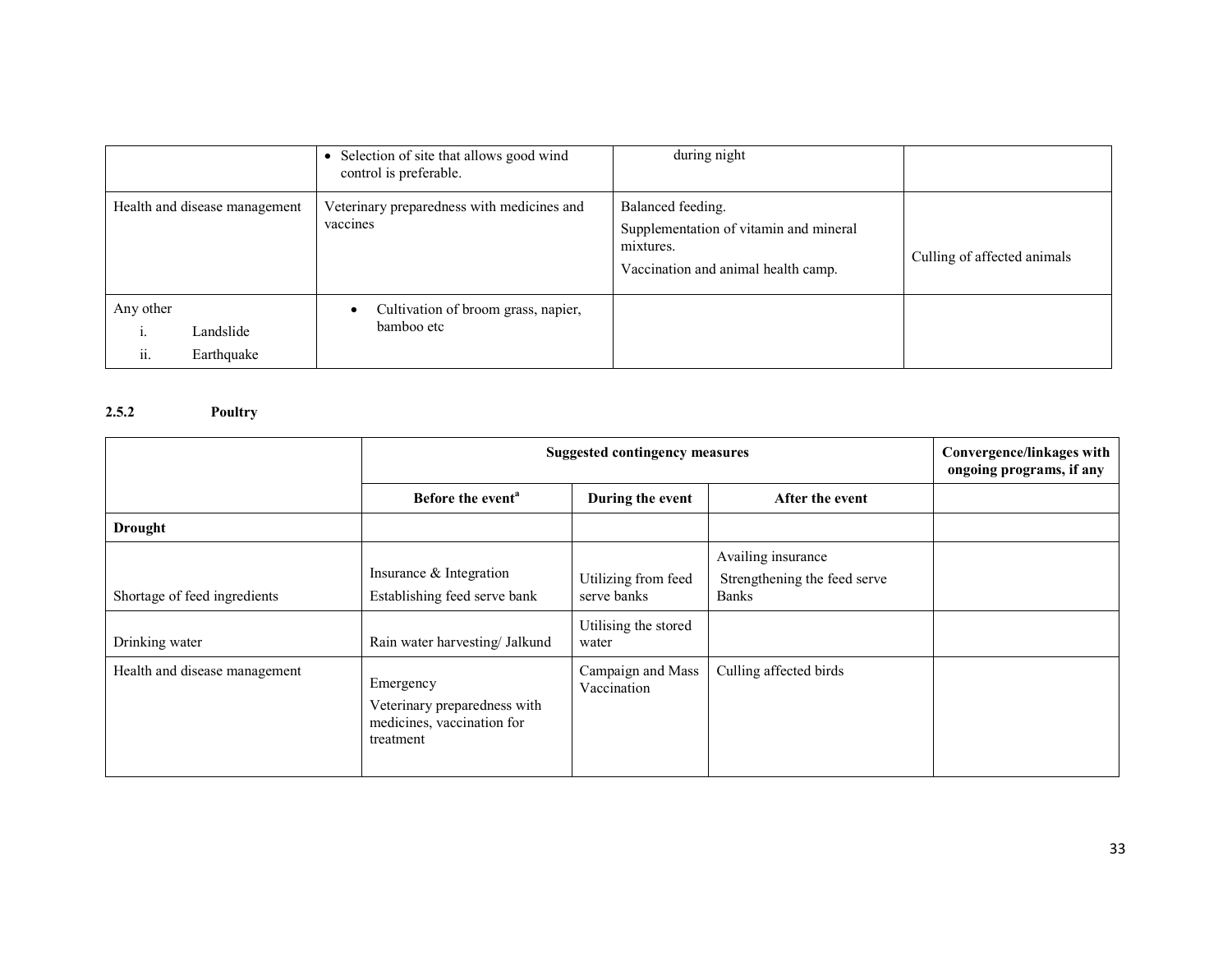|                                                          | Selection of site that allows good wind<br>control is preferable. | during night                                                                                                    |                             |
|----------------------------------------------------------|-------------------------------------------------------------------|-----------------------------------------------------------------------------------------------------------------|-----------------------------|
| Health and disease management                            | Veterinary preparedness with medicines and<br>vaccines            | Balanced feeding.<br>Supplementation of vitamin and mineral<br>mixtures.<br>Vaccination and animal health camp. | Culling of affected animals |
| Any other<br>Landslide<br>$\ddotsc$<br>Earthquake<br>11. | Cultivation of broom grass, napier,<br>٠<br>bamboo etc            |                                                                                                                 |                             |

### 2.5.2 Poultry

|                                                | <b>Suggested contingency measures</b>                                                     | Convergence/linkages with<br>ongoing programs, if any               |                                                                    |  |
|------------------------------------------------|-------------------------------------------------------------------------------------------|---------------------------------------------------------------------|--------------------------------------------------------------------|--|
|                                                | Before the event <sup>a</sup>                                                             | During the event                                                    | After the event                                                    |  |
| <b>Drought</b>                                 |                                                                                           |                                                                     |                                                                    |  |
| Shortage of feed ingredients<br>Drinking water | Insurance & Integration<br>Establishing feed serve bank<br>Rain water harvesting/ Jalkund | Utilizing from feed<br>serve banks<br>Utilising the stored<br>water | Availing insurance<br>Strengthening the feed serve<br><b>Banks</b> |  |
| Health and disease management                  | Emergency<br>Veterinary preparedness with<br>medicines, vaccination for<br>treatment      | Campaign and Mass<br>Vaccination                                    | Culling affected birds                                             |  |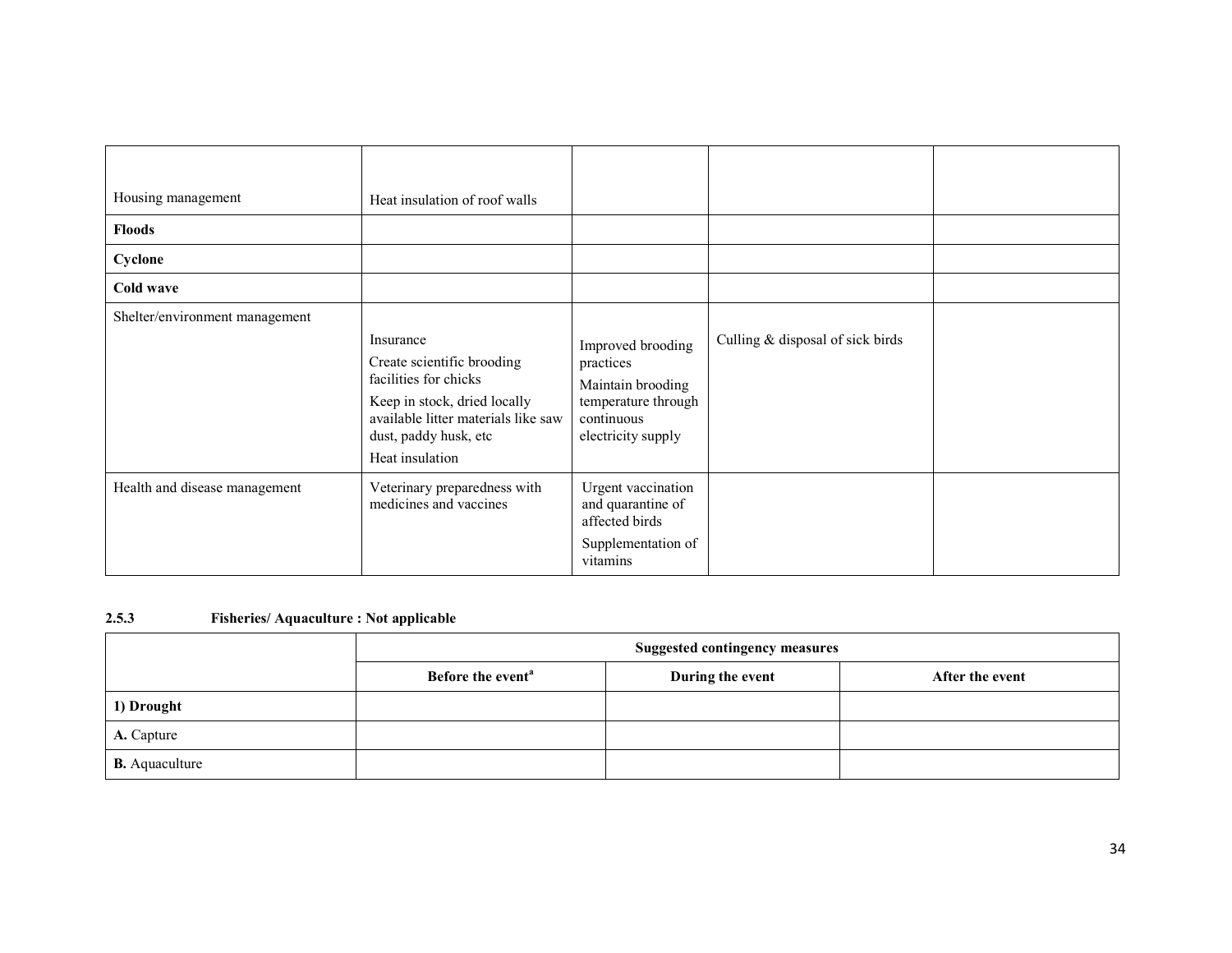| Housing management<br><b>Floods</b><br>Cyclone<br>Cold wave | Heat insulation of roof walls                                                                                                                                                       |                                                                                                                |                                  |  |
|-------------------------------------------------------------|-------------------------------------------------------------------------------------------------------------------------------------------------------------------------------------|----------------------------------------------------------------------------------------------------------------|----------------------------------|--|
| Shelter/environment management                              | Insurance<br>Create scientific brooding<br>facilities for chicks<br>Keep in stock, dried locally<br>available litter materials like saw<br>dust, paddy husk, etc<br>Heat insulation | Improved brooding<br>practices<br>Maintain brooding<br>temperature through<br>continuous<br>electricity supply | Culling & disposal of sick birds |  |
| Health and disease management                               | Veterinary preparedness with<br>medicines and vaccines                                                                                                                              | Urgent vaccination<br>and quarantine of<br>affected birds<br>Supplementation of<br>vitamins                    |                                  |  |

### 2.5.3 Fisheries/ Aquaculture : Not applicable

|                       | <b>Suggested contingency measures</b> |                  |                 |  |  |
|-----------------------|---------------------------------------|------------------|-----------------|--|--|
|                       | Before the event <sup>a</sup>         | During the event | After the event |  |  |
| 1) Drought            |                                       |                  |                 |  |  |
| A. Capture            |                                       |                  |                 |  |  |
| <b>B.</b> Aquaculture |                                       |                  |                 |  |  |